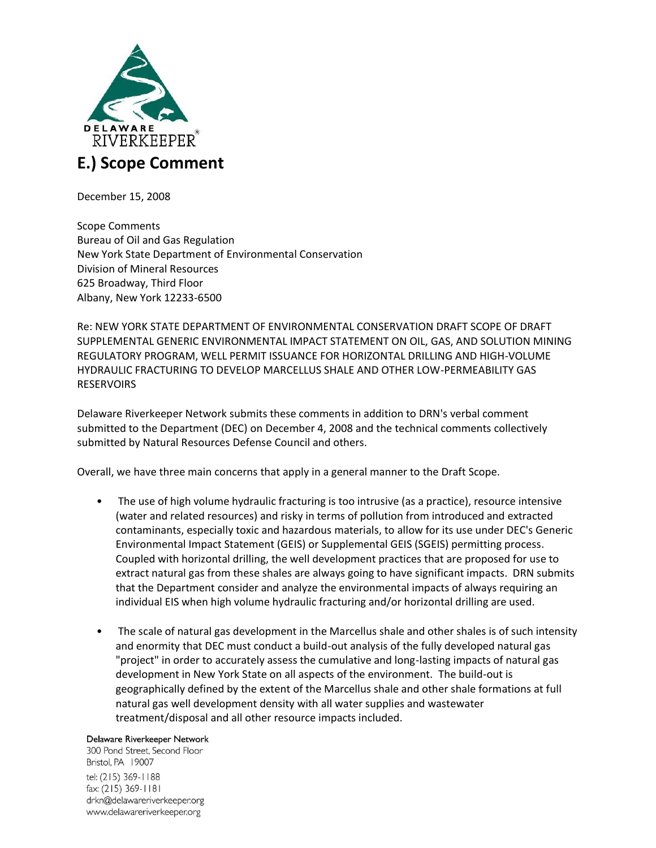

December 15, 2008

Scope Comments Bureau of Oil and Gas Regulation New York State Department of Environmental Conservation Division of Mineral Resources 625 Broadway, Third Floor Albany, New York 12233-6500

Re: NEW YORK STATE DEPARTMENT OF ENVIRONMENTAL CONSERVATION DRAFT SCOPE OF DRAFT SUPPLEMENTAL GENERIC ENVIRONMENTAL IMPACT STATEMENT ON OIL, GAS, AND SOLUTION MINING REGULATORY PROGRAM, WELL PERMIT ISSUANCE FOR HORIZONTAL DRILLING AND HIGH-VOLUME HYDRAULIC FRACTURING TO DEVELOP MARCELLUS SHALE AND OTHER LOW-PERMEABILITY GAS RESERVOIRS

Delaware Riverkeeper Network submits these comments in addition to DRN's verbal comment submitted to the Department (DEC) on December 4, 2008 and the technical comments collectively submitted by Natural Resources Defense Council and others.

Overall, we have three main concerns that apply in a general manner to the Draft Scope.

- The use of high volume hydraulic fracturing is too intrusive (as a practice), resource intensive (water and related resources) and risky in terms of pollution from introduced and extracted contaminants, especially toxic and hazardous materials, to allow for its use under DEC's Generic Environmental Impact Statement (GEIS) or Supplemental GEIS (SGEIS) permitting process. Coupled with horizontal drilling, the well development practices that are proposed for use to extract natural gas from these shales are always going to have significant impacts. DRN submits that the Department consider and analyze the environmental impacts of always requiring an individual EIS when high volume hydraulic fracturing and/or horizontal drilling are used.
- The scale of natural gas development in the Marcellus shale and other shales is of such intensity and enormity that DEC must conduct a build-out analysis of the fully developed natural gas "project" in order to accurately assess the cumulative and long-lasting impacts of natural gas development in New York State on all aspects of the environment. The build-out is geographically defined by the extent of the Marcellus shale and other shale formations at full natural gas well development density with all water supplies and wastewater treatment/disposal and all other resource impacts included.

### Delaware Riverkeeper Network

300 Pond Street, Second Floor Bristol, PA 19007 tel: (215) 369-1188 fax: (215) 369-1181 drkn@delawareriverkeeper.org www.delawareriverkeeper.org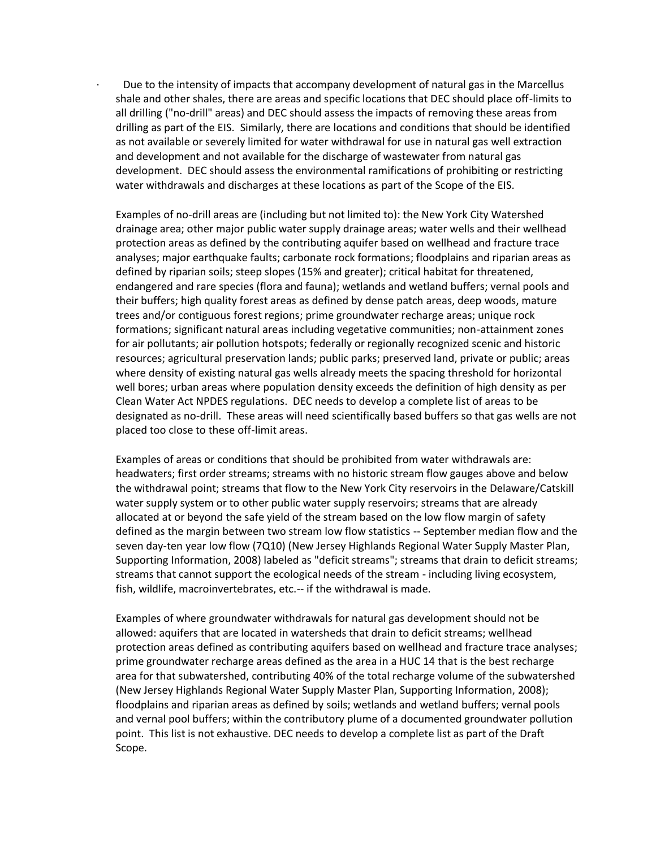· Due to the intensity of impacts that accompany development of natural gas in the Marcellus shale and other shales, there are areas and specific locations that DEC should place off-limits to all drilling ("no-drill" areas) and DEC should assess the impacts of removing these areas from drilling as part of the EIS. Similarly, there are locations and conditions that should be identified as not available or severely limited for water withdrawal for use in natural gas well extraction and development and not available for the discharge of wastewater from natural gas development. DEC should assess the environmental ramifications of prohibiting or restricting water withdrawals and discharges at these locations as part of the Scope of the EIS.

Examples of no-drill areas are (including but not limited to): the New York City Watershed drainage area; other major public water supply drainage areas; water wells and their wellhead protection areas as defined by the contributing aquifer based on wellhead and fracture trace analyses; major earthquake faults; carbonate rock formations; floodplains and riparian areas as defined by riparian soils; steep slopes (15% and greater); critical habitat for threatened, endangered and rare species (flora and fauna); wetlands and wetland buffers; vernal pools and their buffers; high quality forest areas as defined by dense patch areas, deep woods, mature trees and/or contiguous forest regions; prime groundwater recharge areas; unique rock formations; significant natural areas including vegetative communities; non-attainment zones for air pollutants; air pollution hotspots; federally or regionally recognized scenic and historic resources; agricultural preservation lands; public parks; preserved land, private or public; areas where density of existing natural gas wells already meets the spacing threshold for horizontal well bores; urban areas where population density exceeds the definition of high density as per Clean Water Act NPDES regulations. DEC needs to develop a complete list of areas to be designated as no-drill. These areas will need scientifically based buffers so that gas wells are not placed too close to these off-limit areas.

Examples of areas or conditions that should be prohibited from water withdrawals are: headwaters; first order streams; streams with no historic stream flow gauges above and below the withdrawal point; streams that flow to the New York City reservoirs in the Delaware/Catskill water supply system or to other public water supply reservoirs; streams that are already allocated at or beyond the safe yield of the stream based on the low flow margin of safety defined as the margin between two stream low flow statistics -- September median flow and the seven day-ten year low flow (7Q10) (New Jersey Highlands Regional Water Supply Master Plan, Supporting Information, 2008) labeled as "deficit streams"; streams that drain to deficit streams; streams that cannot support the ecological needs of the stream - including living ecosystem, fish, wildlife, macroinvertebrates, etc.-- if the withdrawal is made.

Examples of where groundwater withdrawals for natural gas development should not be allowed: aquifers that are located in watersheds that drain to deficit streams; wellhead protection areas defined as contributing aquifers based on wellhead and fracture trace analyses; prime groundwater recharge areas defined as the area in a HUC 14 that is the best recharge area for that subwatershed, contributing 40% of the total recharge volume of the subwatershed (New Jersey Highlands Regional Water Supply Master Plan, Supporting Information, 2008); floodplains and riparian areas as defined by soils; wetlands and wetland buffers; vernal pools and vernal pool buffers; within the contributory plume of a documented groundwater pollution point. This list is not exhaustive. DEC needs to develop a complete list as part of the Draft Scope.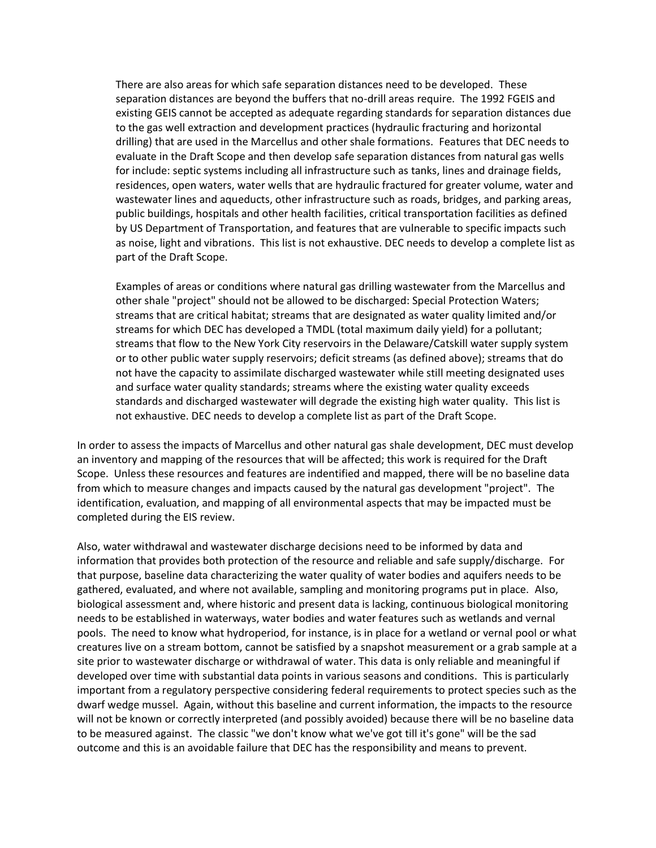There are also areas for which safe separation distances need to be developed. These separation distances are beyond the buffers that no-drill areas require. The 1992 FGEIS and existing GEIS cannot be accepted as adequate regarding standards for separation distances due to the gas well extraction and development practices (hydraulic fracturing and horizontal drilling) that are used in the Marcellus and other shale formations. Features that DEC needs to evaluate in the Draft Scope and then develop safe separation distances from natural gas wells for include: septic systems including all infrastructure such as tanks, lines and drainage fields, residences, open waters, water wells that are hydraulic fractured for greater volume, water and wastewater lines and aqueducts, other infrastructure such as roads, bridges, and parking areas, public buildings, hospitals and other health facilities, critical transportation facilities as defined by US Department of Transportation, and features that are vulnerable to specific impacts such as noise, light and vibrations. This list is not exhaustive. DEC needs to develop a complete list as part of the Draft Scope.

Examples of areas or conditions where natural gas drilling wastewater from the Marcellus and other shale "project" should not be allowed to be discharged: Special Protection Waters; streams that are critical habitat; streams that are designated as water quality limited and/or streams for which DEC has developed a TMDL (total maximum daily yield) for a pollutant; streams that flow to the New York City reservoirs in the Delaware/Catskill water supply system or to other public water supply reservoirs; deficit streams (as defined above); streams that do not have the capacity to assimilate discharged wastewater while still meeting designated uses and surface water quality standards; streams where the existing water quality exceeds standards and discharged wastewater will degrade the existing high water quality. This list is not exhaustive. DEC needs to develop a complete list as part of the Draft Scope.

In order to assess the impacts of Marcellus and other natural gas shale development, DEC must develop an inventory and mapping of the resources that will be affected; this work is required for the Draft Scope. Unless these resources and features are indentified and mapped, there will be no baseline data from which to measure changes and impacts caused by the natural gas development "project". The identification, evaluation, and mapping of all environmental aspects that may be impacted must be completed during the EIS review.

Also, water withdrawal and wastewater discharge decisions need to be informed by data and information that provides both protection of the resource and reliable and safe supply/discharge. For that purpose, baseline data characterizing the water quality of water bodies and aquifers needs to be gathered, evaluated, and where not available, sampling and monitoring programs put in place. Also, biological assessment and, where historic and present data is lacking, continuous biological monitoring needs to be established in waterways, water bodies and water features such as wetlands and vernal pools. The need to know what hydroperiod, for instance, is in place for a wetland or vernal pool or what creatures live on a stream bottom, cannot be satisfied by a snapshot measurement or a grab sample at a site prior to wastewater discharge or withdrawal of water. This data is only reliable and meaningful if developed over time with substantial data points in various seasons and conditions. This is particularly important from a regulatory perspective considering federal requirements to protect species such as the dwarf wedge mussel. Again, without this baseline and current information, the impacts to the resource will not be known or correctly interpreted (and possibly avoided) because there will be no baseline data to be measured against. The classic "we don't know what we've got till it's gone" will be the sad outcome and this is an avoidable failure that DEC has the responsibility and means to prevent.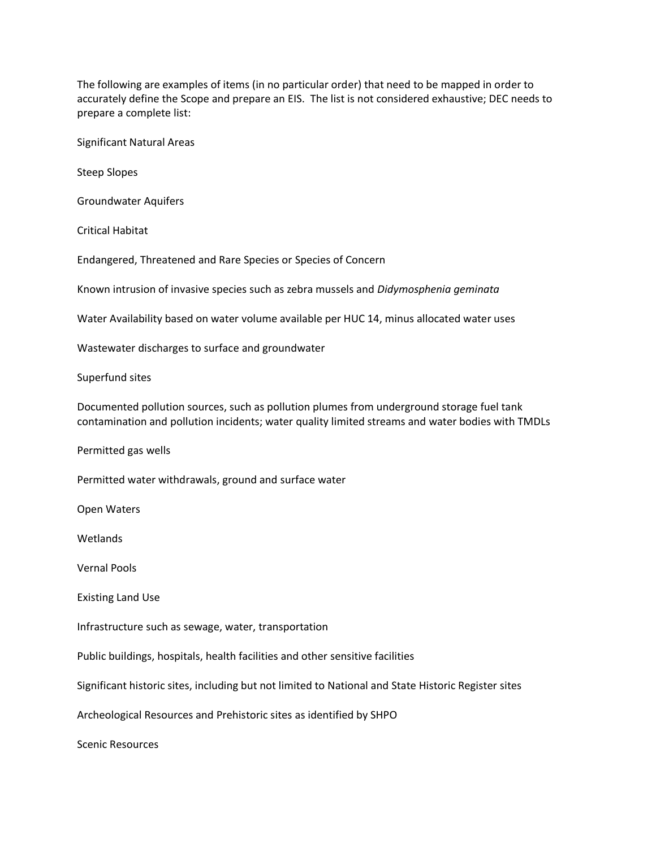The following are examples of items (in no particular order) that need to be mapped in order to accurately define the Scope and prepare an EIS. The list is not considered exhaustive; DEC needs to prepare a complete list:

Significant Natural Areas

Steep Slopes

Groundwater Aquifers

Critical Habitat

Endangered, Threatened and Rare Species or Species of Concern

Known intrusion of invasive species such as zebra mussels and *Didymosphenia geminata*

Water Availability based on water volume available per HUC 14, minus allocated water uses

Wastewater discharges to surface and groundwater

Superfund sites

Documented pollution sources, such as pollution plumes from underground storage fuel tank contamination and pollution incidents; water quality limited streams and water bodies with TMDLs

Permitted gas wells

Permitted water withdrawals, ground and surface water

Open Waters

Wetlands

Vernal Pools

Existing Land Use

Infrastructure such as sewage, water, transportation

Public buildings, hospitals, health facilities and other sensitive facilities

Significant historic sites, including but not limited to National and State Historic Register sites

Archeological Resources and Prehistoric sites as identified by SHPO

Scenic Resources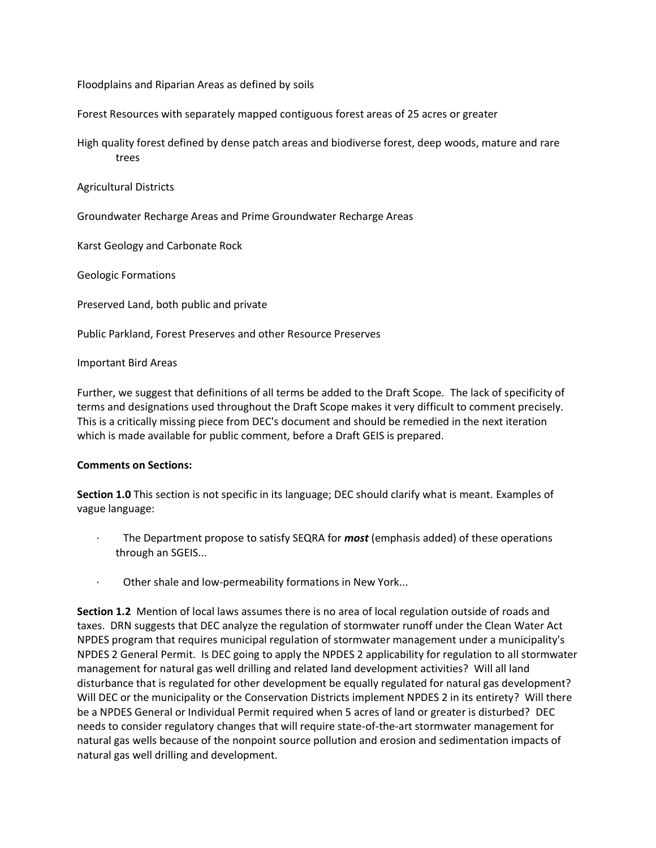Floodplains and Riparian Areas as defined by soils

Forest Resources with separately mapped contiguous forest areas of 25 acres or greater

High quality forest defined by dense patch areas and biodiverse forest, deep woods, mature and rare trees

Agricultural Districts

Groundwater Recharge Areas and Prime Groundwater Recharge Areas

Karst Geology and Carbonate Rock

Geologic Formations

Preserved Land, both public and private

Public Parkland, Forest Preserves and other Resource Preserves

Important Bird Areas

Further, we suggest that definitions of all terms be added to the Draft Scope. The lack of specificity of terms and designations used throughout the Draft Scope makes it very difficult to comment precisely. This is a critically missing piece from DEC's document and should be remedied in the next iteration which is made available for public comment, before a Draft GEIS is prepared.

### **Comments on Sections:**

**Section 1.0** This section is not specific in its language; DEC should clarify what is meant. Examples of vague language:

- · The Department propose to satisfy SEQRA for *most* (emphasis added) of these operations through an SGEIS...
- Other shale and low-permeability formations in New York...

**Section 1.2** Mention of local laws assumes there is no area of local regulation outside of roads and taxes. DRN suggests that DEC analyze the regulation of stormwater runoff under the Clean Water Act NPDES program that requires municipal regulation of stormwater management under a municipality's NPDES 2 General Permit. Is DEC going to apply the NPDES 2 applicability for regulation to all stormwater management for natural gas well drilling and related land development activities? Will all land disturbance that is regulated for other development be equally regulated for natural gas development? Will DEC or the municipality or the Conservation Districts implement NPDES 2 in its entirety? Will there be a NPDES General or Individual Permit required when 5 acres of land or greater is disturbed? DEC needs to consider regulatory changes that will require state-of-the-art stormwater management for natural gas wells because of the nonpoint source pollution and erosion and sedimentation impacts of natural gas well drilling and development.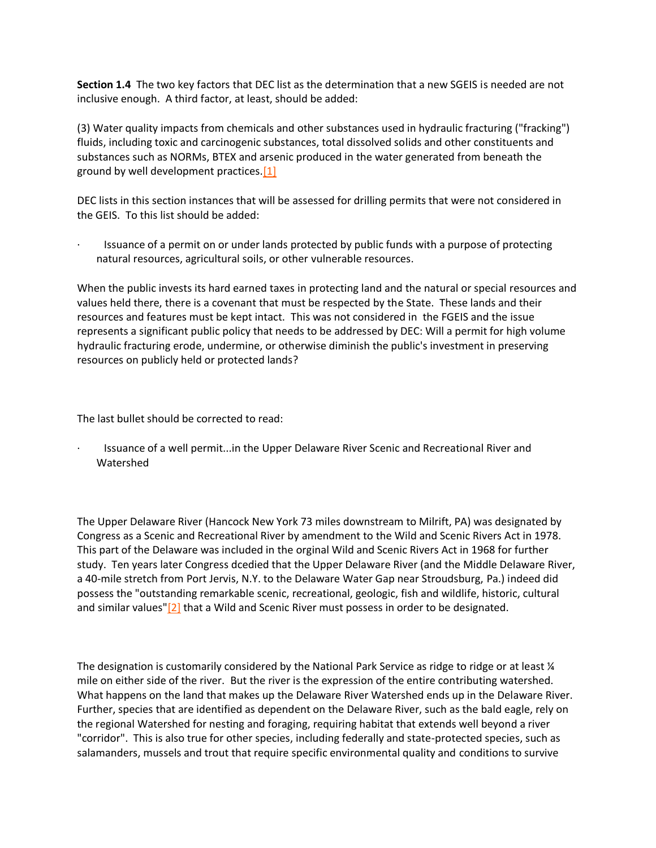**Section 1.4** The two key factors that DEC list as the determination that a new SGEIS is needed are not inclusive enough. A third factor, at least, should be added:

(3) Water quality impacts from chemicals and other substances used in hydraulic fracturing ("fracking") fluids, including toxic and carcinogenic substances, total dissolved solids and other constituents and substances such as NORMs, BTEX and arsenic produced in the water generated from beneath the ground by well development practices[.\[1\]](http://delawareriverkeeper.org/newsresources/factsheet.asp?ID=86#_ftn1)

DEC lists in this section instances that will be assessed for drilling permits that were not considered in the GEIS. To this list should be added:

Issuance of a permit on or under lands protected by public funds with a purpose of protecting natural resources, agricultural soils, or other vulnerable resources.

When the public invests its hard earned taxes in protecting land and the natural or special resources and values held there, there is a covenant that must be respected by the State. These lands and their resources and features must be kept intact. This was not considered in the FGEIS and the issue represents a significant public policy that needs to be addressed by DEC: Will a permit for high volume hydraulic fracturing erode, undermine, or otherwise diminish the public's investment in preserving resources on publicly held or protected lands?

The last bullet should be corrected to read:

· Issuance of a well permit...in the Upper Delaware River Scenic and Recreational River and Watershed

The Upper Delaware River (Hancock New York 73 miles downstream to Milrift, PA) was designated by Congress as a Scenic and Recreational River by amendment to the Wild and Scenic Rivers Act in 1978. This part of the Delaware was included in the orginal Wild and Scenic Rivers Act in 1968 for further study. Ten years later Congress dcedied that the Upper Delaware River (and the Middle Delaware River, a 40-mile stretch from Port Jervis, N.Y. to the Delaware Water Gap near Stroudsburg, Pa.) indeed did possess the "outstanding remarkable scenic, recreational, geologic, fish and wildlife, historic, cultural and similar values" $[2]$  that a Wild and Scenic River must possess in order to be designated.

The designation is customarily considered by the National Park Service as ridge to ridge or at least  $\frac{1}{4}$ mile on either side of the river. But the river is the expression of the entire contributing watershed. What happens on the land that makes up the Delaware River Watershed ends up in the Delaware River. Further, species that are identified as dependent on the Delaware River, such as the bald eagle, rely on the regional Watershed for nesting and foraging, requiring habitat that extends well beyond a river "corridor". This is also true for other species, including federally and state-protected species, such as salamanders, mussels and trout that require specific environmental quality and conditions to survive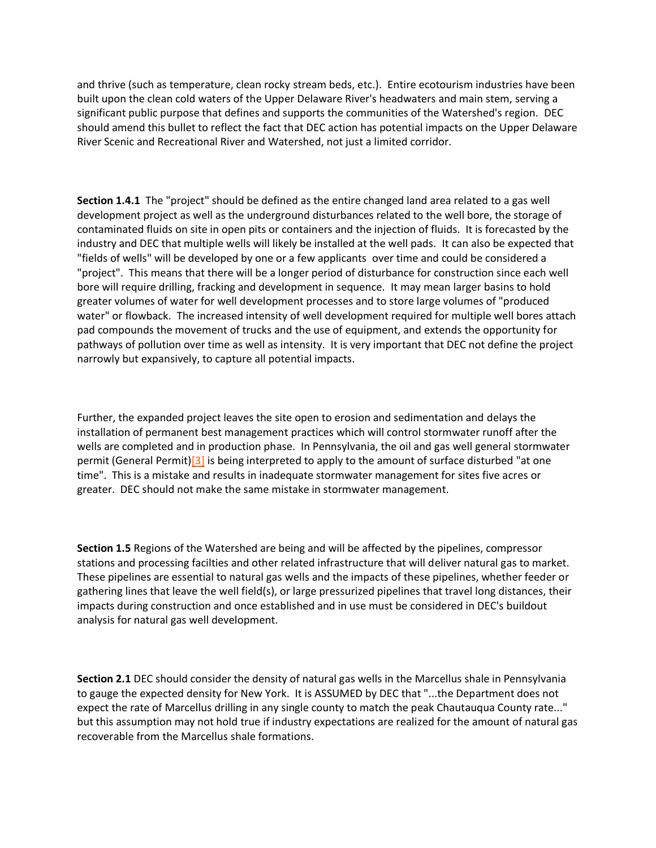and thrive (such as temperature, clean rocky stream beds, etc.). Entire ecotourism industries have been built upon the clean cold waters of the Upper Delaware River's headwaters and main stem, serving a significant public purpose that defines and supports the communities of the Watershed's region. DEC should amend this bullet to reflect the fact that DEC action has potential impacts on the Upper Delaware River Scenic and Recreational River and Watershed, not just a limited corridor.

**Section 1.4.1** The "project" should be defined as the entire changed land area related to a gas well development project as well as the underground disturbances related to the well bore, the storage of contaminated fluids on site in open pits or containers and the injection of fluids. It is forecasted by the industry and DEC that multiple wells will likely be installed at the well pads. It can also be expected that "fields of wells" will be developed by one or a few applicants over time and could be considered a "project". This means that there will be a longer period of disturbance for construction since each well bore will require drilling, fracking and development in sequence. It may mean larger basins to hold greater volumes of water for well development processes and to store large volumes of "produced water" or flowback. The increased intensity of well development required for multiple well bores attach pad compounds the movement of trucks and the use of equipment, and extends the opportunity for pathways of pollution over time as well as intensity. It is very important that DEC not define the project narrowly but expansively, to capture all potential impacts.

Further, the expanded project leaves the site open to erosion and sedimentation and delays the installation of permanent best management practices which will control stormwater runoff after the wells are completed and in production phase. In Pennsylvania, the oil and gas well general stormwater permit (General Permit[\)\[3\]](http://delawareriverkeeper.org/newsresources/factsheet.asp?ID=86#_ftn3) is being interpreted to apply to the amount of surface disturbed "at one time". This is a mistake and results in inadequate stormwater management for sites five acres or greater. DEC should not make the same mistake in stormwater management.

**Section 1.5** Regions of the Watershed are being and will be affected by the pipelines, compressor stations and processing facilties and other related infrastructure that will deliver natural gas to market. These pipelines are essential to natural gas wells and the impacts of these pipelines, whether feeder or gathering lines that leave the well field(s), or large pressurized pipelines that travel long distances, their impacts during construction and once established and in use must be considered in DEC's buildout analysis for natural gas well development.

**Section 2.1** DEC should consider the density of natural gas wells in the Marcellus shale in Pennsylvania to gauge the expected density for New York. It is ASSUMED by DEC that "...the Department does not expect the rate of Marcellus drilling in any single county to match the peak Chautauqua County rate..." but this assumption may not hold true if industry expectations are realized for the amount of natural gas recoverable from the Marcellus shale formations.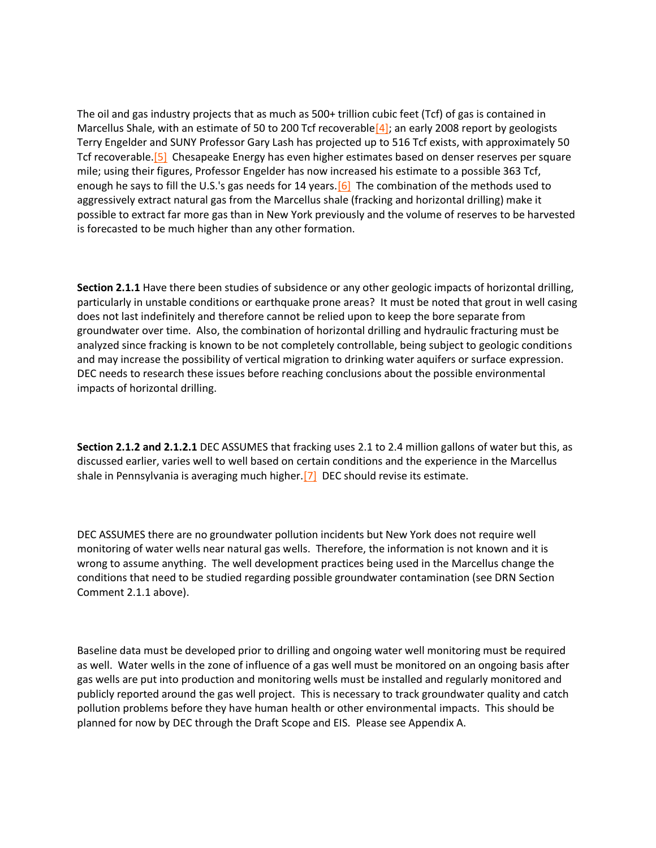The oil and gas industry projects that as much as 500+ trillion cubic feet (Tcf) of gas is contained in Marcellus Shale, with an estimate of 50 to 200 Tcf recoverable  $\frac{4}{3}$ ; an early 2008 report by geologists Terry Engelder and SUNY Professor Gary Lash has projected up to 516 Tcf exists, with approximately 50 Tcf recoverable[.\[5\]](http://delawareriverkeeper.org/newsresources/factsheet.asp?ID=86#_ftn5) Chesapeake Energy has even higher estimates based on denser reserves per square mile; using their figures, Professor Engelder has now increased his estimate to a possible 363 Tcf, enough he says to fill the U.S.'s gas needs for 14 years.  $[6]$  The combination of the methods used to aggressively extract natural gas from the Marcellus shale (fracking and horizontal drilling) make it possible to extract far more gas than in New York previously and the volume of reserves to be harvested is forecasted to be much higher than any other formation.

**Section 2.1.1** Have there been studies of subsidence or any other geologic impacts of horizontal drilling, particularly in unstable conditions or earthquake prone areas? It must be noted that grout in well casing does not last indefinitely and therefore cannot be relied upon to keep the bore separate from groundwater over time. Also, the combination of horizontal drilling and hydraulic fracturing must be analyzed since fracking is known to be not completely controllable, being subject to geologic conditions and may increase the possibility of vertical migration to drinking water aquifers or surface expression. DEC needs to research these issues before reaching conclusions about the possible environmental impacts of horizontal drilling.

**Section 2.1.2 and 2.1.2.1** DEC ASSUMES that fracking uses 2.1 to 2.4 million gallons of water but this, as discussed earlier, varies well to well based on certain conditions and the experience in the Marcellus shale in Pennsylvania is averaging much higher.<sup>[7]</sup> DEC should revise its estimate.

DEC ASSUMES there are no groundwater pollution incidents but New York does not require well monitoring of water wells near natural gas wells. Therefore, the information is not known and it is wrong to assume anything. The well development practices being used in the Marcellus change the conditions that need to be studied regarding possible groundwater contamination (see DRN Section Comment 2.1.1 above).

Baseline data must be developed prior to drilling and ongoing water well monitoring must be required as well. Water wells in the zone of influence of a gas well must be monitored on an ongoing basis after gas wells are put into production and monitoring wells must be installed and regularly monitored and publicly reported around the gas well project. This is necessary to track groundwater quality and catch pollution problems before they have human health or other environmental impacts. This should be planned for now by DEC through the Draft Scope and EIS. Please see Appendix A.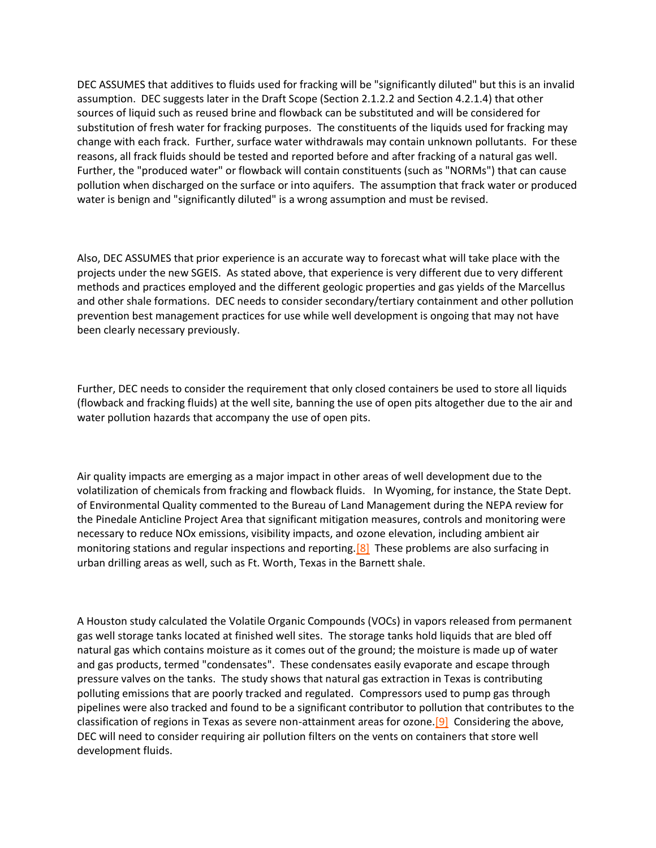DEC ASSUMES that additives to fluids used for fracking will be "significantly diluted" but this is an invalid assumption. DEC suggests later in the Draft Scope (Section 2.1.2.2 and Section 4.2.1.4) that other sources of liquid such as reused brine and flowback can be substituted and will be considered for substitution of fresh water for fracking purposes. The constituents of the liquids used for fracking may change with each frack. Further, surface water withdrawals may contain unknown pollutants. For these reasons, all frack fluids should be tested and reported before and after fracking of a natural gas well. Further, the "produced water" or flowback will contain constituents (such as "NORMs") that can cause pollution when discharged on the surface or into aquifers. The assumption that frack water or produced water is benign and "significantly diluted" is a wrong assumption and must be revised.

Also, DEC ASSUMES that prior experience is an accurate way to forecast what will take place with the projects under the new SGEIS. As stated above, that experience is very different due to very different methods and practices employed and the different geologic properties and gas yields of the Marcellus and other shale formations. DEC needs to consider secondary/tertiary containment and other pollution prevention best management practices for use while well development is ongoing that may not have been clearly necessary previously.

Further, DEC needs to consider the requirement that only closed containers be used to store all liquids (flowback and fracking fluids) at the well site, banning the use of open pits altogether due to the air and water pollution hazards that accompany the use of open pits.

Air quality impacts are emerging as a major impact in other areas of well development due to the volatilization of chemicals from fracking and flowback fluids. In Wyoming, for instance, the State Dept. of Environmental Quality commented to the Bureau of Land Management during the NEPA review for the Pinedale Anticline Project Area that significant mitigation measures, controls and monitoring were necessary to reduce NOx emissions, visibility impacts, and ozone elevation, including ambient air monitoring stations and regular inspections and reporting[.\[8\]](http://delawareriverkeeper.org/newsresources/factsheet.asp?ID=86#_ftn8) These problems are also surfacing in urban drilling areas as well, such as Ft. Worth, Texas in the Barnett shale.

A Houston study calculated the Volatile Organic Compounds (VOCs) in vapors released from permanent gas well storage tanks located at finished well sites. The storage tanks hold liquids that are bled off natural gas which contains moisture as it comes out of the ground; the moisture is made up of water and gas products, termed "condensates". These condensates easily evaporate and escape through pressure valves on the tanks. The study shows that natural gas extraction in Texas is contributing polluting emissions that are poorly tracked and regulated. Compressors used to pump gas through pipelines were also tracked and found to be a significant contributor to pollution that contributes to the classification of regions in Texas as severe non-attainment areas for ozone[.\[9\]](http://delawareriverkeeper.org/newsresources/factsheet.asp?ID=86#_ftn9) Considering the above, DEC will need to consider requiring air pollution filters on the vents on containers that store well development fluids.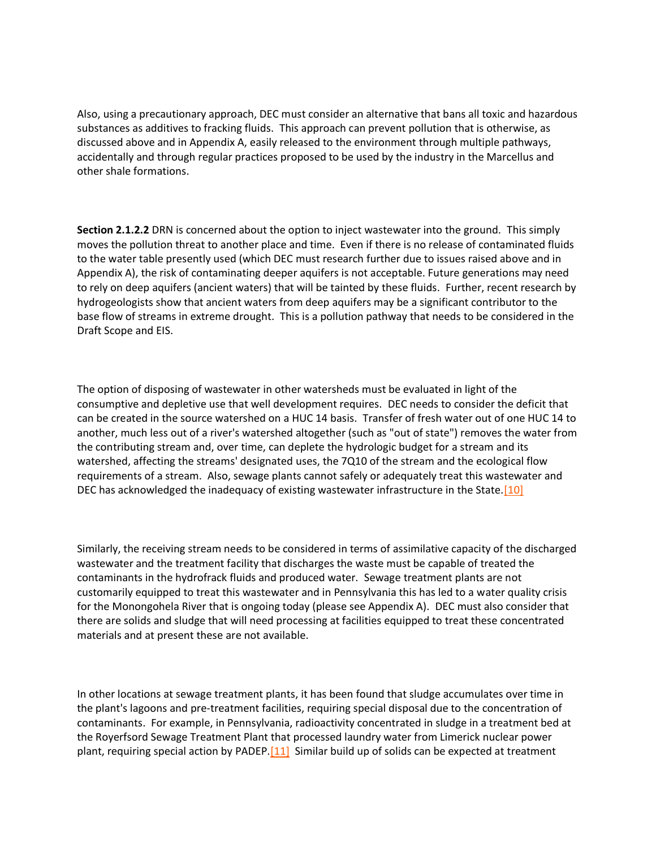Also, using a precautionary approach, DEC must consider an alternative that bans all toxic and hazardous substances as additives to fracking fluids. This approach can prevent pollution that is otherwise, as discussed above and in Appendix A, easily released to the environment through multiple pathways, accidentally and through regular practices proposed to be used by the industry in the Marcellus and other shale formations.

**Section 2.1.2.2** DRN is concerned about the option to inject wastewater into the ground. This simply moves the pollution threat to another place and time. Even if there is no release of contaminated fluids to the water table presently used (which DEC must research further due to issues raised above and in Appendix A), the risk of contaminating deeper aquifers is not acceptable. Future generations may need to rely on deep aquifers (ancient waters) that will be tainted by these fluids. Further, recent research by hydrogeologists show that ancient waters from deep aquifers may be a significant contributor to the base flow of streams in extreme drought. This is a pollution pathway that needs to be considered in the Draft Scope and EIS.

The option of disposing of wastewater in other watersheds must be evaluated in light of the consumptive and depletive use that well development requires. DEC needs to consider the deficit that can be created in the source watershed on a HUC 14 basis. Transfer of fresh water out of one HUC 14 to another, much less out of a river's watershed altogether (such as "out of state") removes the water from the contributing stream and, over time, can deplete the hydrologic budget for a stream and its watershed, affecting the streams' designated uses, the 7Q10 of the stream and the ecological flow requirements of a stream. Also, sewage plants cannot safely or adequately treat this wastewater and DEC has acknowledged the inadequacy of existing wastewater infrastructure in the State[.\[10\]](http://delawareriverkeeper.org/newsresources/factsheet.asp?ID=86#_ftn10)

Similarly, the receiving stream needs to be considered in terms of assimilative capacity of the discharged wastewater and the treatment facility that discharges the waste must be capable of treated the contaminants in the hydrofrack fluids and produced water. Sewage treatment plants are not customarily equipped to treat this wastewater and in Pennsylvania this has led to a water quality crisis for the Monongohela River that is ongoing today (please see Appendix A). DEC must also consider that there are solids and sludge that will need processing at facilities equipped to treat these concentrated materials and at present these are not available.

In other locations at sewage treatment plants, it has been found that sludge accumulates over time in the plant's lagoons and pre-treatment facilities, requiring special disposal due to the concentration of contaminants. For example, in Pennsylvania, radioactivity concentrated in sludge in a treatment bed at the Royerfsord Sewage Treatment Plant that processed laundry water from Limerick nuclear power plant, requiring special action by PADEP.<sup>[11]</sup> Similar build up of solids can be expected at treatment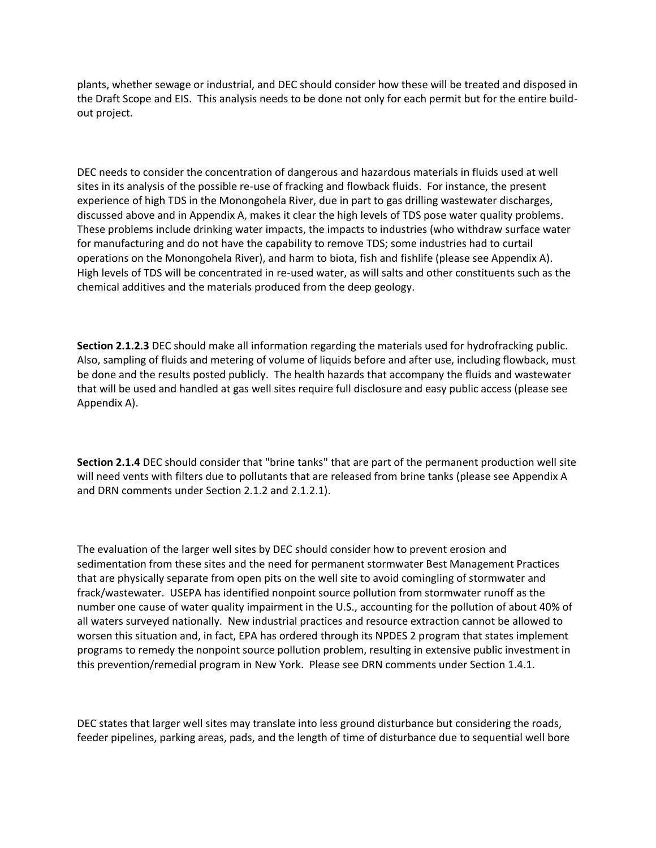plants, whether sewage or industrial, and DEC should consider how these will be treated and disposed in the Draft Scope and EIS. This analysis needs to be done not only for each permit but for the entire buildout project.

DEC needs to consider the concentration of dangerous and hazardous materials in fluids used at well sites in its analysis of the possible re-use of fracking and flowback fluids. For instance, the present experience of high TDS in the Monongohela River, due in part to gas drilling wastewater discharges, discussed above and in Appendix A, makes it clear the high levels of TDS pose water quality problems. These problems include drinking water impacts, the impacts to industries (who withdraw surface water for manufacturing and do not have the capability to remove TDS; some industries had to curtail operations on the Monongohela River), and harm to biota, fish and fishlife (please see Appendix A). High levels of TDS will be concentrated in re-used water, as will salts and other constituents such as the chemical additives and the materials produced from the deep geology.

**Section 2.1.2.3** DEC should make all information regarding the materials used for hydrofracking public. Also, sampling of fluids and metering of volume of liquids before and after use, including flowback, must be done and the results posted publicly. The health hazards that accompany the fluids and wastewater that will be used and handled at gas well sites require full disclosure and easy public access (please see Appendix A).

**Section 2.1.4** DEC should consider that "brine tanks" that are part of the permanent production well site will need vents with filters due to pollutants that are released from brine tanks (please see Appendix A and DRN comments under Section 2.1.2 and 2.1.2.1).

The evaluation of the larger well sites by DEC should consider how to prevent erosion and sedimentation from these sites and the need for permanent stormwater Best Management Practices that are physically separate from open pits on the well site to avoid comingling of stormwater and frack/wastewater. USEPA has identified nonpoint source pollution from stormwater runoff as the number one cause of water quality impairment in the U.S., accounting for the pollution of about 40% of all waters surveyed nationally. New industrial practices and resource extraction cannot be allowed to worsen this situation and, in fact, EPA has ordered through its NPDES 2 program that states implement programs to remedy the nonpoint source pollution problem, resulting in extensive public investment in this prevention/remedial program in New York. Please see DRN comments under Section 1.4.1.

DEC states that larger well sites may translate into less ground disturbance but considering the roads, feeder pipelines, parking areas, pads, and the length of time of disturbance due to sequential well bore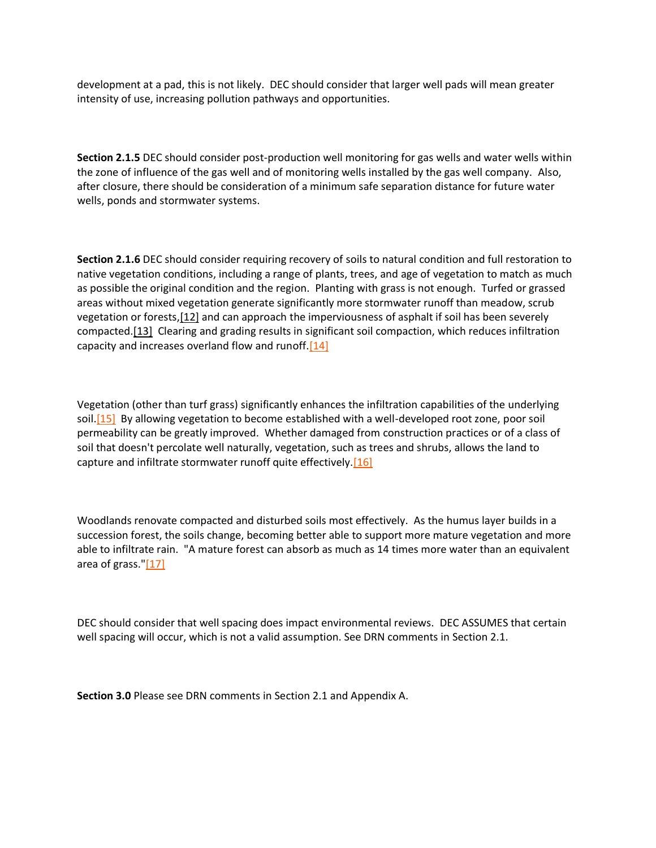development at a pad, this is not likely. DEC should consider that larger well pads will mean greater intensity of use, increasing pollution pathways and opportunities.

**Section 2.1.5** DEC should consider post-production well monitoring for gas wells and water wells within the zone of influence of the gas well and of monitoring wells installed by the gas well company. Also, after closure, there should be consideration of a minimum safe separation distance for future water wells, ponds and stormwater systems.

**Section 2.1.6** DEC should consider requiring recovery of soils to natural condition and full restoration to native vegetation conditions, including a range of plants, trees, and age of vegetation to match as much as possible the original condition and the region. Planting with grass is not enough. Turfed or grassed areas without mixed vegetation generate significantly more stormwater runoff than meadow, scrub vegetation or forests[,\[12\]](http://delawareriverkeeper.org/newsresources/factsheet.asp?ID=86#_ftn12) and can approach the imperviousness of asphalt if soil has been severely compacted[.\[13\]](http://delawareriverkeeper.org/newsresources/factsheet.asp?ID=86#_ftn13) Clearing and grading results in significant soil compaction, which reduces infiltration capacity and increases overland flow and runoff. $[14]$ 

Vegetation (other than turf grass) significantly enhances the infiltration capabilities of the underlying soil[.\[15\]](http://delawareriverkeeper.org/newsresources/factsheet.asp?ID=86#_ftn15) By allowing vegetation to become established with a well-developed root zone, poor soil permeability can be greatly improved. Whether damaged from construction practices or of a class of soil that doesn't percolate well naturally, vegetation, such as trees and shrubs, allows the land to capture and infiltrate stormwater runoff quite effectively. $[16]$ 

Woodlands renovate compacted and disturbed soils most effectively. As the humus layer builds in a succession forest, the soils change, becoming better able to support more mature vegetation and more able to infiltrate rain. "A mature forest can absorb as much as 14 times more water than an equivalent area of grass.["\[17\]](http://delawareriverkeeper.org/newsresources/factsheet.asp?ID=86#_ftn17)

DEC should consider that well spacing does impact environmental reviews. DEC ASSUMES that certain well spacing will occur, which is not a valid assumption. See DRN comments in Section 2.1.

**Section 3.0** Please see DRN comments in Section 2.1 and Appendix A.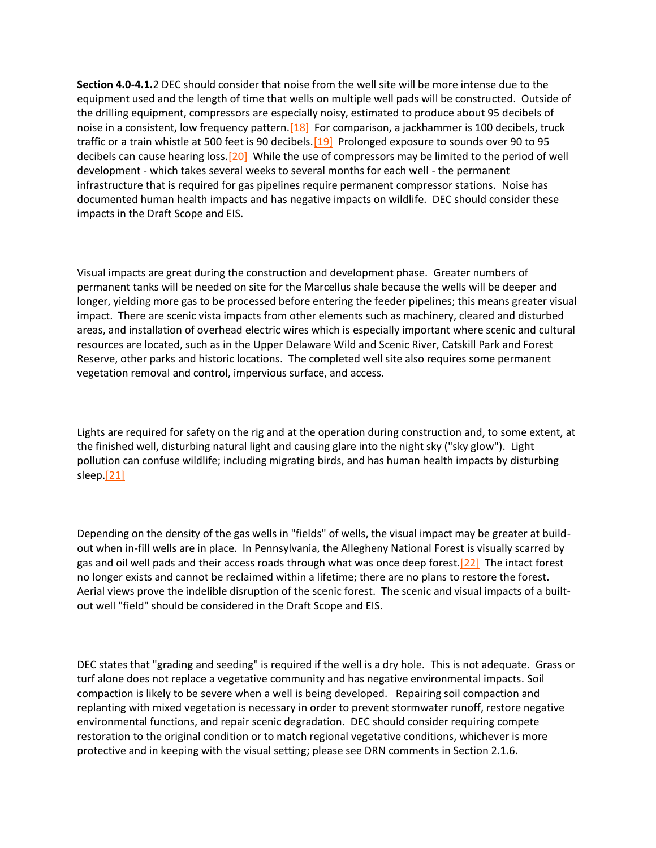**Section 4.0-4.1.**2 DEC should consider that noise from the well site will be more intense due to the equipment used and the length of time that wells on multiple well pads will be constructed. Outside of the drilling equipment, compressors are especially noisy, estimated to produce about 95 decibels of noise in a consistent, low frequency pattern.  $[18]$  For comparison, a jackhammer is 100 decibels, truck traffic or a train whistle at 500 feet is 90 decibels.<sup>[19]</sup> Prolonged exposure to sounds over 90 to 95 decibels can cause hearing loss[.\[20\]](http://delawareriverkeeper.org/newsresources/factsheet.asp?ID=86#_ftn20) While the use of compressors may be limited to the period of well development - which takes several weeks to several months for each well - the permanent infrastructure that is required for gas pipelines require permanent compressor stations. Noise has documented human health impacts and has negative impacts on wildlife. DEC should consider these impacts in the Draft Scope and EIS.

Visual impacts are great during the construction and development phase. Greater numbers of permanent tanks will be needed on site for the Marcellus shale because the wells will be deeper and longer, yielding more gas to be processed before entering the feeder pipelines; this means greater visual impact. There are scenic vista impacts from other elements such as machinery, cleared and disturbed areas, and installation of overhead electric wires which is especially important where scenic and cultural resources are located, such as in the Upper Delaware Wild and Scenic River, Catskill Park and Forest Reserve, other parks and historic locations. The completed well site also requires some permanent vegetation removal and control, impervious surface, and access.

Lights are required for safety on the rig and at the operation during construction and, to some extent, at the finished well, disturbing natural light and causing glare into the night sky ("sky glow"). Light pollution can confuse wildlife; including migrating birds, and has human health impacts by disturbing sleep[.\[21\]](http://delawareriverkeeper.org/newsresources/factsheet.asp?ID=86#_ftn21)

Depending on the density of the gas wells in "fields" of wells, the visual impact may be greater at buildout when in-fill wells are in place. In Pennsylvania, the Allegheny National Forest is visually scarred by gas and oil well pads and their access roads through what was once deep forest[.\[22\]](http://delawareriverkeeper.org/newsresources/factsheet.asp?ID=86#_ftn22) The intact forest no longer exists and cannot be reclaimed within a lifetime; there are no plans to restore the forest. Aerial views prove the indelible disruption of the scenic forest. The scenic and visual impacts of a builtout well "field" should be considered in the Draft Scope and EIS.

DEC states that "grading and seeding" is required if the well is a dry hole. This is not adequate. Grass or turf alone does not replace a vegetative community and has negative environmental impacts. Soil compaction is likely to be severe when a well is being developed. Repairing soil compaction and replanting with mixed vegetation is necessary in order to prevent stormwater runoff, restore negative environmental functions, and repair scenic degradation. DEC should consider requiring compete restoration to the original condition or to match regional vegetative conditions, whichever is more protective and in keeping with the visual setting; please see DRN comments in Section 2.1.6.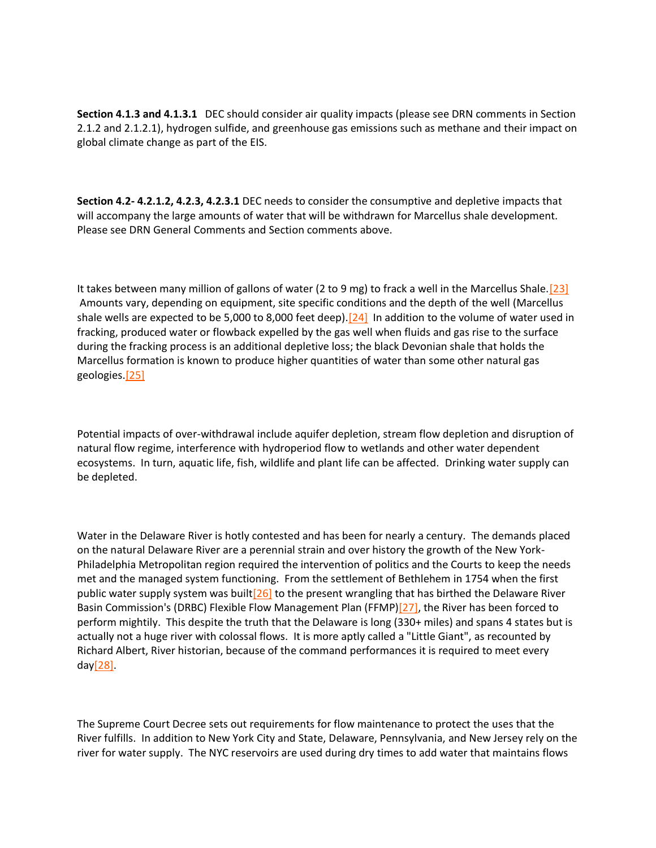**Section 4.1.3 and 4.1.3.1** DEC should consider air quality impacts (please see DRN comments in Section 2.1.2 and 2.1.2.1), hydrogen sulfide, and greenhouse gas emissions such as methane and their impact on global climate change as part of the EIS.

**Section 4.2- 4.2.1.2, 4.2.3, 4.2.3.1** DEC needs to consider the consumptive and depletive impacts that will accompany the large amounts of water that will be withdrawn for Marcellus shale development. Please see DRN General Comments and Section comments above.

It takes between many million of gallons of water (2 to 9 mg) to frack a well in the Marcellus Shale. [23] Amounts vary, depending on equipment, site specific conditions and the depth of the well (Marcellus shale wells are expected to be 5,000 to 8,000 feet deep). $[24]$  In addition to the volume of water used in fracking, produced water or flowback expelled by the gas well when fluids and gas rise to the surface during the fracking process is an additional depletive loss; the black Devonian shale that holds the Marcellus formation is known to produce higher quantities of water than some other natural gas geologies[.\[25\]](http://delawareriverkeeper.org/newsresources/factsheet.asp?ID=86#_ftn25)

Potential impacts of over-withdrawal include aquifer depletion, stream flow depletion and disruption of natural flow regime, interference with hydroperiod flow to wetlands and other water dependent ecosystems. In turn, aquatic life, fish, wildlife and plant life can be affected. Drinking water supply can be depleted.

Water in the Delaware River is hotly contested and has been for nearly a century. The demands placed on the natural Delaware River are a perennial strain and over history the growth of the New York-Philadelphia Metropolitan region required the intervention of politics and the Courts to keep the needs met and the managed system functioning. From the settlement of Bethlehem in 1754 when the first public water supply system was built<sup>[26]</sup> to the present wrangling that has birthed the Delaware River Basin Commission's (DRBC) Flexible Flow Management Plan (FFMP[\)\[27\],](http://delawareriverkeeper.org/newsresources/factsheet.asp?ID=86#_ftn27) the River has been forced to perform mightily. This despite the truth that the Delaware is long (330+ miles) and spans 4 states but is actually not a huge river with colossal flows. It is more aptly called a "Little Giant", as recounted by Richard Albert, River historian, because of the command performances it is required to meet every da[y\[28\].](http://delawareriverkeeper.org/newsresources/factsheet.asp?ID=86#_ftn28)

The Supreme Court Decree sets out requirements for flow maintenance to protect the uses that the River fulfills. In addition to New York City and State, Delaware, Pennsylvania, and New Jersey rely on the river for water supply. The NYC reservoirs are used during dry times to add water that maintains flows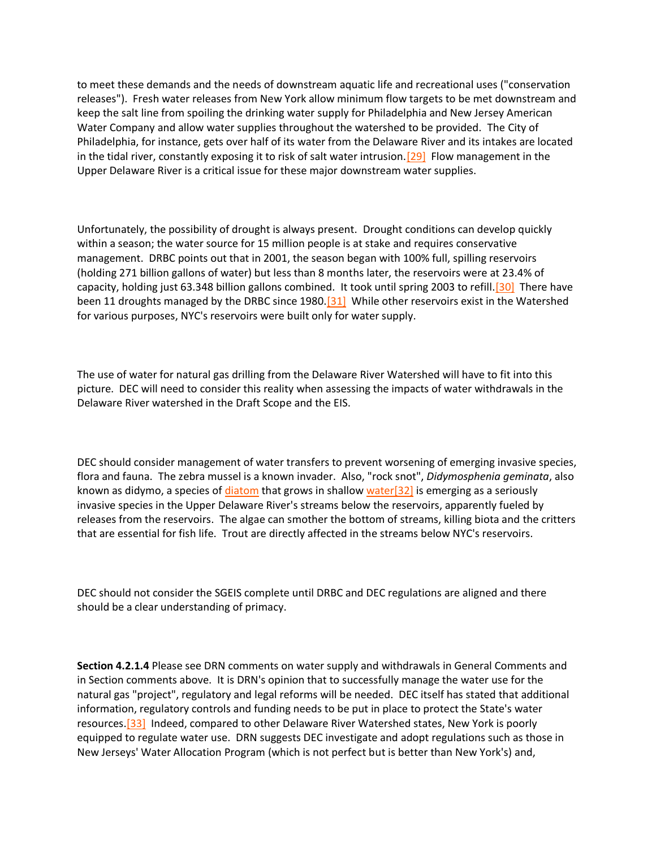to meet these demands and the needs of downstream aquatic life and recreational uses ("conservation releases"). Fresh water releases from New York allow minimum flow targets to be met downstream and keep the salt line from spoiling the drinking water supply for Philadelphia and New Jersey American Water Company and allow water supplies throughout the watershed to be provided. The City of Philadelphia, for instance, gets over half of its water from the Delaware River and its intakes are located in the tidal river, constantly exposing it to risk of salt water intrusion.<sup>[29]</sup> Flow management in the Upper Delaware River is a critical issue for these major downstream water supplies.

Unfortunately, the possibility of drought is always present. Drought conditions can develop quickly within a season; the water source for 15 million people is at stake and requires conservative management. DRBC points out that in 2001, the season began with 100% full, spilling reservoirs (holding 271 billion gallons of water) but less than 8 months later, the reservoirs were at 23.4% of capacity, holding just 63.348 billion gallons combined. It took until spring 2003 to refill.<sup>[30]</sup> There have been 11 droughts managed by the DRBC since 1980.<sup>[31]</sup> While other reservoirs exist in the Watershed for various purposes, NYC's reservoirs were built only for water supply.

The use of water for natural gas drilling from the Delaware River Watershed will have to fit into this picture. DEC will need to consider this reality when assessing the impacts of water withdrawals in the Delaware River watershed in the Draft Scope and the EIS.

DEC should consider management of water transfers to prevent worsening of emerging invasive species, flora and fauna. The zebra mussel is a known invader. Also, "rock snot", *Didymosphenia geminata*, also known as didymo, a species of [diatom](http://en.wikipedia.org/wiki/Diatom) that grows in shallow water  $[32]$  is emerging as a seriously invasive species in the Upper Delaware River's streams below the reservoirs, apparently fueled by releases from the reservoirs. The algae can smother the bottom of streams, killing biota and the critters that are essential for fish life. Trout are directly affected in the streams below NYC's reservoirs.

DEC should not consider the SGEIS complete until DRBC and DEC regulations are aligned and there should be a clear understanding of primacy.

**Section 4.2.1.4** Please see DRN comments on water supply and withdrawals in General Comments and in Section comments above. It is DRN's opinion that to successfully manage the water use for the natural gas "project", regulatory and legal reforms will be needed. DEC itself has stated that additional information, regulatory controls and funding needs to be put in place to protect the State's water resources[.\[33\]](http://delawareriverkeeper.org/newsresources/factsheet.asp?ID=86#_ftn33) Indeed, compared to other Delaware River Watershed states, New York is poorly equipped to regulate water use. DRN suggests DEC investigate and adopt regulations such as those in New Jerseys' Water Allocation Program (which is not perfect but is better than New York's) and,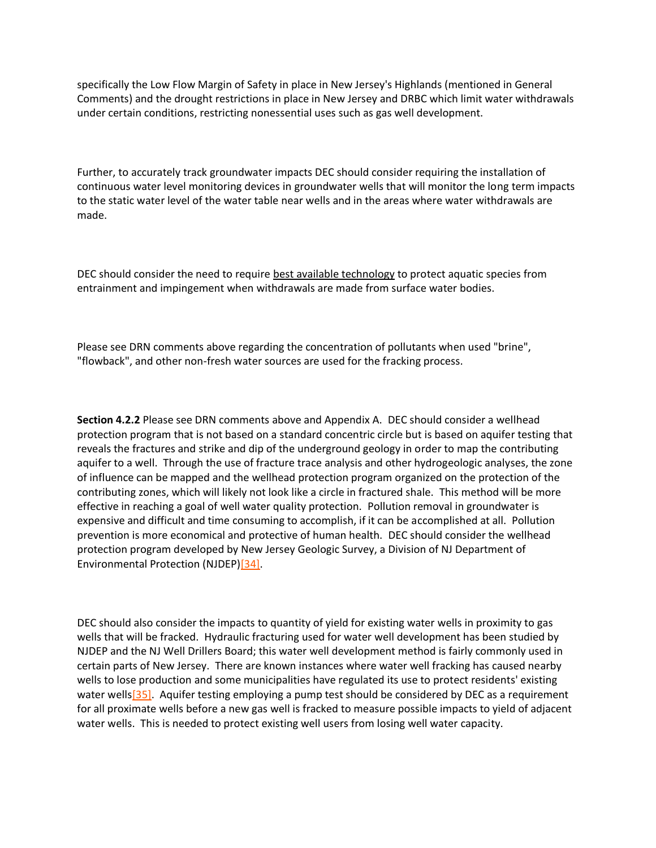specifically the Low Flow Margin of Safety in place in New Jersey's Highlands (mentioned in General Comments) and the drought restrictions in place in New Jersey and DRBC which limit water withdrawals under certain conditions, restricting nonessential uses such as gas well development.

Further, to accurately track groundwater impacts DEC should consider requiring the installation of continuous water level monitoring devices in groundwater wells that will monitor the long term impacts to the static water level of the water table near wells and in the areas where water withdrawals are made.

DEC should consider the need to require best available technology to protect aquatic species from entrainment and impingement when withdrawals are made from surface water bodies.

Please see DRN comments above regarding the concentration of pollutants when used "brine", "flowback", and other non-fresh water sources are used for the fracking process.

**Section 4.2.2** Please see DRN comments above and Appendix A. DEC should consider a wellhead protection program that is not based on a standard concentric circle but is based on aquifer testing that reveals the fractures and strike and dip of the underground geology in order to map the contributing aquifer to a well. Through the use of fracture trace analysis and other hydrogeologic analyses, the zone of influence can be mapped and the wellhead protection program organized on the protection of the contributing zones, which will likely not look like a circle in fractured shale. This method will be more effective in reaching a goal of well water quality protection. Pollution removal in groundwater is expensive and difficult and time consuming to accomplish, if it can be accomplished at all. Pollution prevention is more economical and protective of human health. DEC should consider the wellhead protection program developed by New Jersey Geologic Survey, a Division of NJ Department of Environmental Protection (NJDEP[\)\[34\].](http://delawareriverkeeper.org/newsresources/factsheet.asp?ID=86#_ftn34)

DEC should also consider the impacts to quantity of yield for existing water wells in proximity to gas wells that will be fracked. Hydraulic fracturing used for water well development has been studied by NJDEP and the NJ Well Drillers Board; this water well development method is fairly commonly used in certain parts of New Jersey. There are known instances where water well fracking has caused nearby wells to lose production and some municipalities have regulated its use to protect residents' existing water wells<sup>[35]</sup>. Aquifer testing employing a pump test should be considered by DEC as a requirement for all proximate wells before a new gas well is fracked to measure possible impacts to yield of adjacent water wells. This is needed to protect existing well users from losing well water capacity.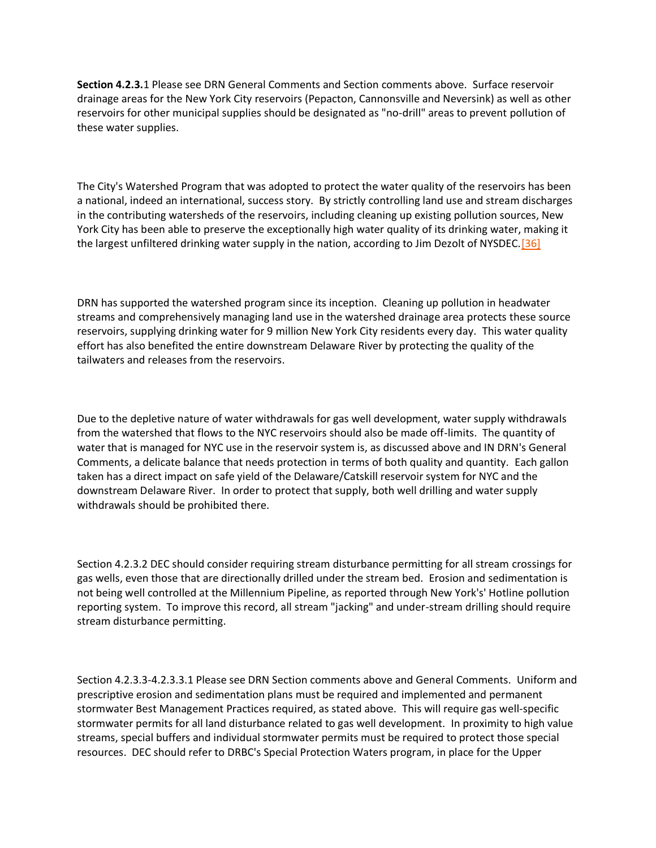**Section 4.2.3.**1 Please see DRN General Comments and Section comments above. Surface reservoir drainage areas for the New York City reservoirs (Pepacton, Cannonsville and Neversink) as well as other reservoirs for other municipal supplies should be designated as "no-drill" areas to prevent pollution of these water supplies.

The City's Watershed Program that was adopted to protect the water quality of the reservoirs has been a national, indeed an international, success story. By strictly controlling land use and stream discharges in the contributing watersheds of the reservoirs, including cleaning up existing pollution sources, New York City has been able to preserve the exceptionally high water quality of its drinking water, making it the largest unfiltered drinking water supply in the nation, according to Jim Dezolt of NYSDEC. [36]

DRN has supported the watershed program since its inception. Cleaning up pollution in headwater streams and comprehensively managing land use in the watershed drainage area protects these source reservoirs, supplying drinking water for 9 million New York City residents every day. This water quality effort has also benefited the entire downstream Delaware River by protecting the quality of the tailwaters and releases from the reservoirs.

Due to the depletive nature of water withdrawals for gas well development, water supply withdrawals from the watershed that flows to the NYC reservoirs should also be made off-limits. The quantity of water that is managed for NYC use in the reservoir system is, as discussed above and IN DRN's General Comments, a delicate balance that needs protection in terms of both quality and quantity. Each gallon taken has a direct impact on safe yield of the Delaware/Catskill reservoir system for NYC and the downstream Delaware River. In order to protect that supply, both well drilling and water supply withdrawals should be prohibited there.

Section 4.2.3.2 DEC should consider requiring stream disturbance permitting for all stream crossings for gas wells, even those that are directionally drilled under the stream bed. Erosion and sedimentation is not being well controlled at the Millennium Pipeline, as reported through New York's' Hotline pollution reporting system. To improve this record, all stream "jacking" and under-stream drilling should require stream disturbance permitting.

Section 4.2.3.3-4.2.3.3.1 Please see DRN Section comments above and General Comments. Uniform and prescriptive erosion and sedimentation plans must be required and implemented and permanent stormwater Best Management Practices required, as stated above. This will require gas well-specific stormwater permits for all land disturbance related to gas well development. In proximity to high value streams, special buffers and individual stormwater permits must be required to protect those special resources. DEC should refer to DRBC's Special Protection Waters program, in place for the Upper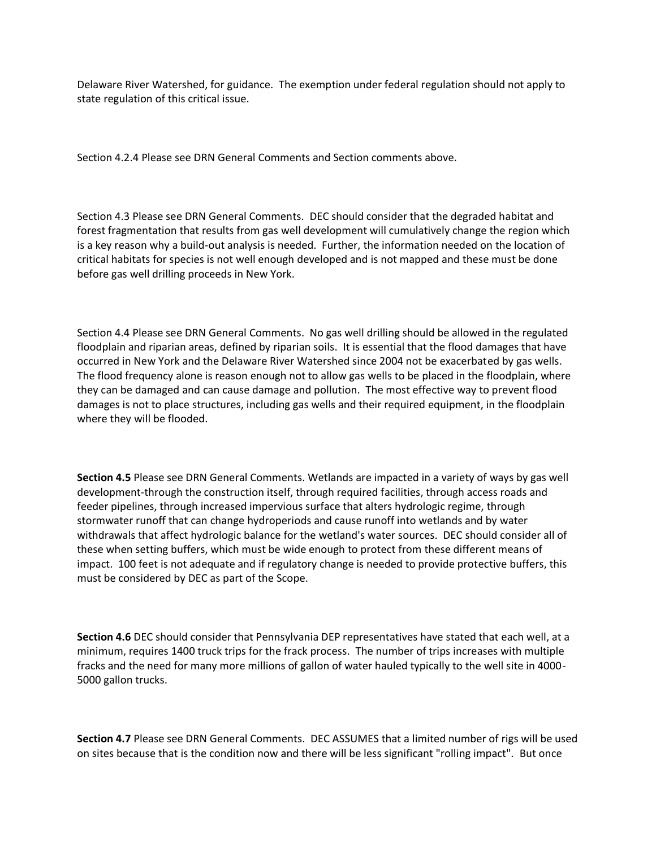Delaware River Watershed, for guidance. The exemption under federal regulation should not apply to state regulation of this critical issue.

Section 4.2.4 Please see DRN General Comments and Section comments above.

Section 4.3 Please see DRN General Comments. DEC should consider that the degraded habitat and forest fragmentation that results from gas well development will cumulatively change the region which is a key reason why a build-out analysis is needed. Further, the information needed on the location of critical habitats for species is not well enough developed and is not mapped and these must be done before gas well drilling proceeds in New York.

Section 4.4 Please see DRN General Comments. No gas well drilling should be allowed in the regulated floodplain and riparian areas, defined by riparian soils. It is essential that the flood damages that have occurred in New York and the Delaware River Watershed since 2004 not be exacerbated by gas wells. The flood frequency alone is reason enough not to allow gas wells to be placed in the floodplain, where they can be damaged and can cause damage and pollution. The most effective way to prevent flood damages is not to place structures, including gas wells and their required equipment, in the floodplain where they will be flooded.

**Section 4.5** Please see DRN General Comments. Wetlands are impacted in a variety of ways by gas well development-through the construction itself, through required facilities, through access roads and feeder pipelines, through increased impervious surface that alters hydrologic regime, through stormwater runoff that can change hydroperiods and cause runoff into wetlands and by water withdrawals that affect hydrologic balance for the wetland's water sources. DEC should consider all of these when setting buffers, which must be wide enough to protect from these different means of impact. 100 feet is not adequate and if regulatory change is needed to provide protective buffers, this must be considered by DEC as part of the Scope.

**Section 4.6** DEC should consider that Pennsylvania DEP representatives have stated that each well, at a minimum, requires 1400 truck trips for the frack process. The number of trips increases with multiple fracks and the need for many more millions of gallon of water hauled typically to the well site in 4000- 5000 gallon trucks.

**Section 4.7** Please see DRN General Comments. DEC ASSUMES that a limited number of rigs will be used on sites because that is the condition now and there will be less significant "rolling impact". But once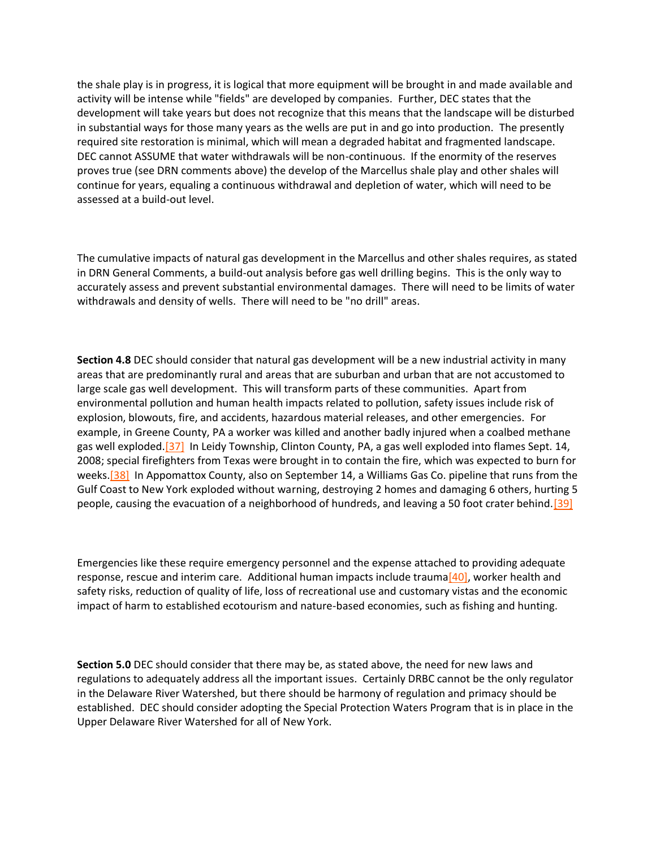the shale play is in progress, it is logical that more equipment will be brought in and made available and activity will be intense while "fields" are developed by companies. Further, DEC states that the development will take years but does not recognize that this means that the landscape will be disturbed in substantial ways for those many years as the wells are put in and go into production. The presently required site restoration is minimal, which will mean a degraded habitat and fragmented landscape. DEC cannot ASSUME that water withdrawals will be non-continuous. If the enormity of the reserves proves true (see DRN comments above) the develop of the Marcellus shale play and other shales will continue for years, equaling a continuous withdrawal and depletion of water, which will need to be assessed at a build-out level.

The cumulative impacts of natural gas development in the Marcellus and other shales requires, as stated in DRN General Comments, a build-out analysis before gas well drilling begins. This is the only way to accurately assess and prevent substantial environmental damages. There will need to be limits of water withdrawals and density of wells. There will need to be "no drill" areas.

**Section 4.8** DEC should consider that natural gas development will be a new industrial activity in many areas that are predominantly rural and areas that are suburban and urban that are not accustomed to large scale gas well development. This will transform parts of these communities. Apart from environmental pollution and human health impacts related to pollution, safety issues include risk of explosion, blowouts, fire, and accidents, hazardous material releases, and other emergencies. For example, in Greene County, PA a worker was killed and another badly injured when a coalbed methane gas well exploded.<sup>[37]</sup> In Leidy Township, Clinton County, PA, a gas well exploded into flames Sept. 14, 2008; special firefighters from Texas were brought in to contain the fire, which was expected to burn for weeks.<sup>[38]</sup> In Appomattox County, also on September 14, a Williams Gas Co. pipeline that runs from the Gulf Coast to New York exploded without warning, destroying 2 homes and damaging 6 others, hurting 5 people, causing the evacuation of a neighborhood of hundreds, and leaving a 50 foot crater behind[.\[39\]](http://delawareriverkeeper.org/newsresources/factsheet.asp?ID=86#_ftn39)

Emergencies like these require emergency personnel and the expense attached to providing adequate response, rescue and interim care. Additional human impacts include trauma<sup>[40]</sup>, worker health and safety risks, reduction of quality of life, loss of recreational use and customary vistas and the economic impact of harm to established ecotourism and nature-based economies, such as fishing and hunting.

**Section 5.0** DEC should consider that there may be, as stated above, the need for new laws and regulations to adequately address all the important issues. Certainly DRBC cannot be the only regulator in the Delaware River Watershed, but there should be harmony of regulation and primacy should be established. DEC should consider adopting the Special Protection Waters Program that is in place in the Upper Delaware River Watershed for all of New York.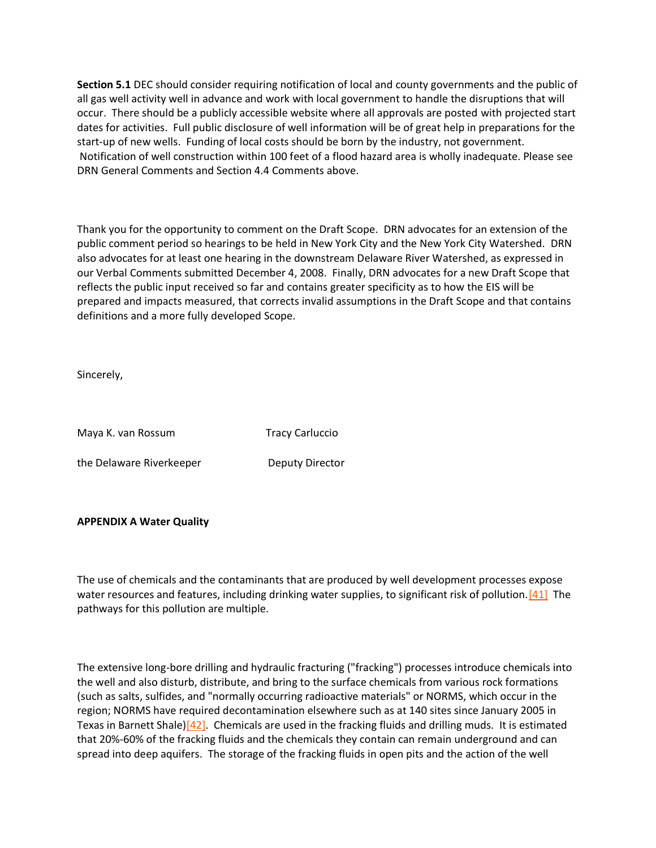**Section 5.1** DEC should consider requiring notification of local and county governments and the public of all gas well activity well in advance and work with local government to handle the disruptions that will occur. There should be a publicly accessible website where all approvals are posted with projected start dates for activities. Full public disclosure of well information will be of great help in preparations for the start-up of new wells. Funding of local costs should be born by the industry, not government. Notification of well construction within 100 feet of a flood hazard area is wholly inadequate. Please see DRN General Comments and Section 4.4 Comments above.

Thank you for the opportunity to comment on the Draft Scope. DRN advocates for an extension of the public comment period so hearings to be held in New York City and the New York City Watershed. DRN also advocates for at least one hearing in the downstream Delaware River Watershed, as expressed in our Verbal Comments submitted December 4, 2008. Finally, DRN advocates for a new Draft Scope that reflects the public input received so far and contains greater specificity as to how the EIS will be prepared and impacts measured, that corrects invalid assumptions in the Draft Scope and that contains definitions and a more fully developed Scope.

Sincerely,

| Maya K. van Rossum       | <b>Tracy Carluccio</b> |
|--------------------------|------------------------|
| the Delaware Riverkeeper | Deputy Director        |

### **APPENDIX A Water Quality**

The use of chemicals and the contaminants that are produced by well development processes expose water resources and features, including drinking water supplies, to significant risk of pollution.<sup>[41]</sup> The pathways for this pollution are multiple.

The extensive long-bore drilling and hydraulic fracturing ("fracking") processes introduce chemicals into the well and also disturb, distribute, and bring to the surface chemicals from various rock formations (such as salts, sulfides, and "normally occurring radioactive materials" or NORMS, which occur in the region; NORMS have required decontamination elsewhere such as at 140 sites since January 2005 in Texas in Barnett Shale[\)\[42\].](http://delawareriverkeeper.org/newsresources/factsheet.asp?ID=86#_ftn42) Chemicals are used in the fracking fluids and drilling muds. It is estimated that 20%-60% of the fracking fluids and the chemicals they contain can remain underground and can spread into deep aquifers. The storage of the fracking fluids in open pits and the action of the well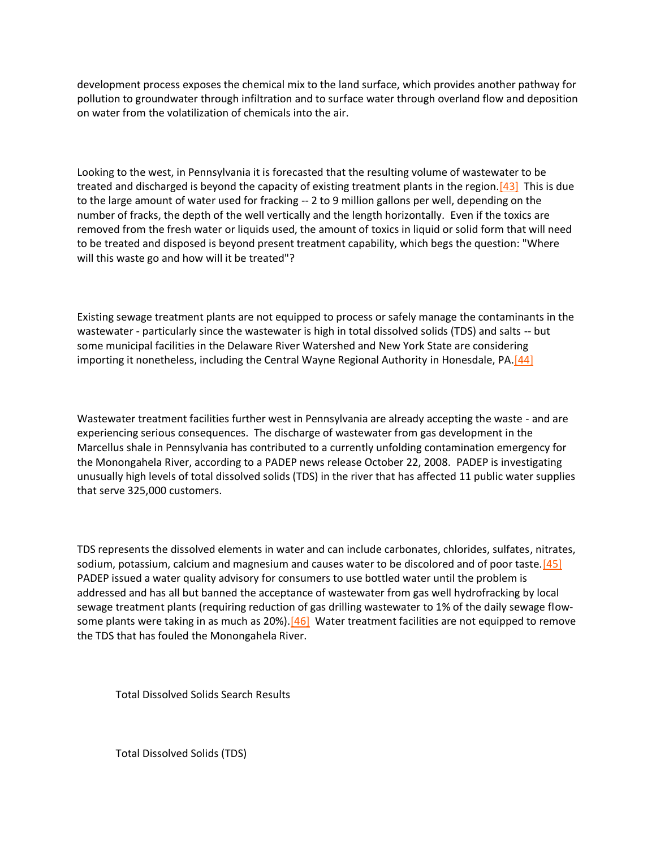development process exposes the chemical mix to the land surface, which provides another pathway for pollution to groundwater through infiltration and to surface water through overland flow and deposition on water from the volatilization of chemicals into the air.

Looking to the west, in Pennsylvania it is forecasted that the resulting volume of wastewater to be treated and discharged is beyond the capacity of existing treatment plants in the region. $[43]$  This is due to the large amount of water used for fracking -- 2 to 9 million gallons per well, depending on the number of fracks, the depth of the well vertically and the length horizontally. Even if the toxics are removed from the fresh water or liquids used, the amount of toxics in liquid or solid form that will need to be treated and disposed is beyond present treatment capability, which begs the question: "Where will this waste go and how will it be treated"?

Existing sewage treatment plants are not equipped to process or safely manage the contaminants in the wastewater - particularly since the wastewater is high in total dissolved solids (TDS) and salts -- but some municipal facilities in the Delaware River Watershed and New York State are considering importing it nonetheless, including the Central Wayne Regional Authority in Honesdale, PA.<sup>[44]</sup>

Wastewater treatment facilities further west in Pennsylvania are already accepting the waste - and are experiencing serious consequences. The discharge of wastewater from gas development in the Marcellus shale in Pennsylvania has contributed to a currently unfolding contamination emergency for the Monongahela River, according to a PADEP news release October 22, 2008. PADEP is investigating unusually high levels of total dissolved solids (TDS) in the river that has affected 11 public water supplies that serve 325,000 customers.

TDS represents the dissolved elements in water and can include carbonates, chlorides, sulfates, nitrates, sodium, potassium, calcium and magnesium and causes water to be discolored and of poor taste. [45] PADEP issued a water quality advisory for consumers to use bottled water until the problem is addressed and has all but banned the acceptance of wastewater from gas well hydrofracking by local sewage treatment plants (requiring reduction of gas drilling wastewater to 1% of the daily sewage flowsome plants were taking in as much as  $20\%$ ).<sup>[46]</sup> Water treatment facilities are not equipped to remove the TDS that has fouled the Monongahela River.

Total Dissolved Solids Search Results

Total Dissolved Solids (TDS)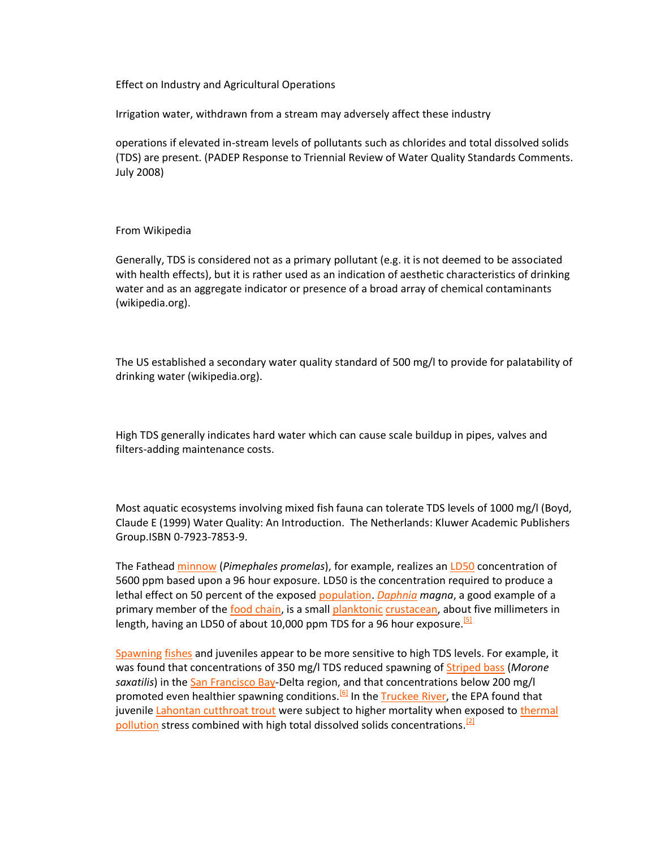Effect on Industry and Agricultural Operations

Irrigation water, withdrawn from a stream may adversely affect these industry

operations if elevated in-stream levels of pollutants such as chlorides and total dissolved solids (TDS) are present. (PADEP Response to Triennial Review of Water Quality Standards Comments. July 2008)

### From Wikipedia

Generally, TDS is considered not as a primary pollutant (e.g. it is not deemed to be associated with health effects), but it is rather used as an indication of aesthetic characteristics of drinking water and as an aggregate indicator or presence of a broad array of chemical contaminants (wikipedia.org).

The US established a secondary water quality standard of 500 mg/l to provide for palatability of drinking water (wikipedia.org).

High TDS generally indicates hard water which can cause scale buildup in pipes, valves and filters-adding maintenance costs.

Most aquatic ecosystems involving mixed fish fauna can tolerate TDS levels of 1000 mg/l (Boyd, Claude E (1999) Water Quality: An Introduction. The Netherlands: Kluwer Academic Publishers Group.ISBN 0-7923-7853-9.

The Fathead [minnow](http://www.medbib.com/Minnow) (*Pimephales promelas*), for example, realizes an [LD50](http://www.medbib.com/LD50) concentration of 5600 ppm based upon a 96 hour exposure. LD50 is the concentration required to produce a lethal effect on 50 percent of the exposed [population.](http://www.medbib.com/Population) *[Daphnia](http://www.medbib.com/Daphnia) magna*, a good example of a primary member of the [food chain,](http://www.medbib.com/Food_chain) is a smal[l planktonic](http://www.medbib.com/Plankton) [crustacean,](http://www.medbib.com/Crustacean) about five millimeters in length, having an LD50 of about 10,000 ppm TDS for a 96 hour exposure.<sup>[\[5\]](http://www.medbib.com/#cite_note-4)</sup>

[Spawning](http://www.medbib.com/Spawn_(biology)) [fishes](http://www.medbib.com/Fish) and juveniles appear to be more sensitive to high TDS levels. For example, it was found that concentrations of 350 mg/l TDS reduced spawning of [Striped bass](http://www.medbib.com/Striped_bass) (*Morone*  saxatilis) in the [San Francisco Bay-](http://www.medbib.com/San_Francisco_Bay)Delta region, and that concentrations below 200 mg/l promoted even healthier spawning conditions.<sup>[\[6\]](http://www.medbib.com/#cite_note-5)</sup> In th[e Truckee River,](http://www.medbib.com/Truckee_River) the EPA found that juvenil[e Lahontan cutthroat trout](http://www.medbib.com/Lahontan_cutthroat_trout) were subject to higher mortality when exposed to thermal [pollution](http://www.medbib.com/Thermal_pollution) stress combined with high total dissolved solids concentrations.<sup>[\[2\]](http://www.medbib.com/#cite_note-hogan-papineau-1)</sup>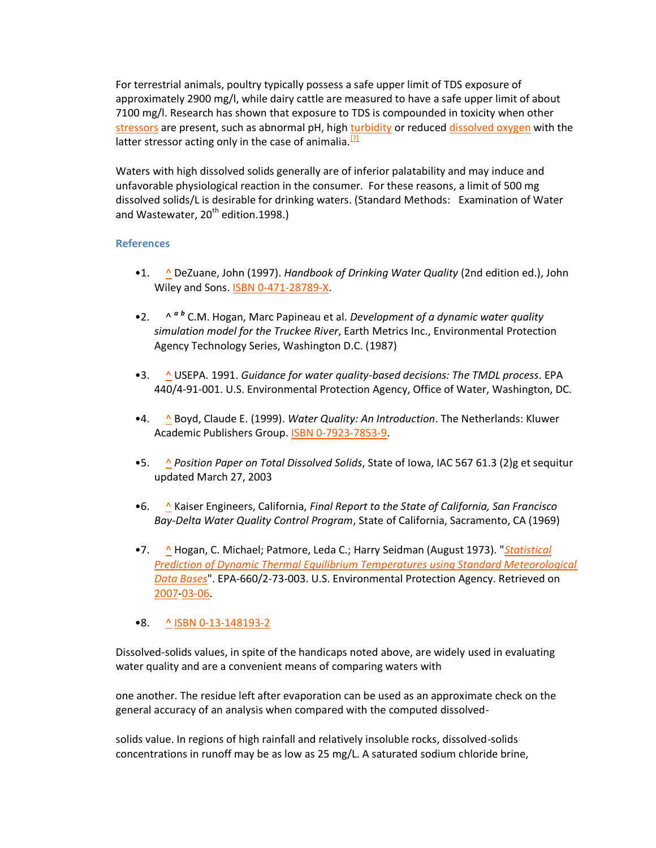For terrestrial animals, poultry typically possess a safe upper limit of TDS exposure of approximately 2900 mg/l, while dairy cattle are measured to have a safe upper limit of about 7100 mg/l. Research has shown that exposure to TDS is compounded in toxicity when other [stressors](http://www.medbib.com/Stressor) are present, such as abnormal pH, high [turbidity](http://www.medbib.com/Turbidity) or reduce[d dissolved oxygen](http://www.medbib.com/Dissolved_oxygen) with the latter stressor acting only in the case of animalia. $^{[7]}$  $^{[7]}$  $^{[7]}$ 

Waters with high dissolved solids generally are of inferior palatability and may induce and unfavorable physiological reaction in the consumer. For these reasons, a limit of 500 mg dissolved solids/L is desirable for drinking waters. (Standard Methods: Examination of Water and Wastewater,  $20^{th}$  edition.1998.)

# **References**

- •1. [^](http://www.medbib.com/#cite_ref-0) DeZuane, John (1997). *Handbook of Drinking Water Quality* (2nd edition ed.), John Wiley and Sons. [ISBN 0-471-28789-X.](http://www.medbib.com/Special:BookSources/047128789X)
- •2. [^](http://www.medbib.com/#cite_ref-hogan-papineau_1-0)  $A$ <sup>*a [b](http://www.medbib.com/#cite_ref-hogan-papineau_1-1)*</sup> C.M. Hogan, Marc Papineau et al. *Development of a dynamic water quality simulation model for the Truckee River*, Earth Metrics Inc., Environmental Protection Agency Technology Series, Washington D.C. (1987)
- •3. [^](http://www.medbib.com/#cite_ref-2) USEPA. 1991. *Guidance for water quality-based decisions: The TMDL process*. EPA 440/4-91-001. U.S. Environmental Protection Agency, Office of Water, Washington, DC.
- •4. [^](http://www.medbib.com/#cite_ref-3) Boyd, Claude E. (1999). *Water Quality: An Introduction*. The Netherlands: Kluwer Academic Publishers Group. [ISBN 0-7923-7853-9.](http://www.medbib.com/Special:BookSources/0792378539)
- •5. [^](http://www.medbib.com/#cite_ref-4) *Position Paper on Total Dissolved Solids*, State of Iowa, IAC 567 61.3 (2)g et sequitur updated March 27, 2003
- •6. [^](http://www.medbib.com/#cite_ref-5) Kaiser Engineers, California, *Final Report to the State of California, San Francisco Bay-Delta Water Quality Control Program*, State of California, Sacramento, CA (1969)
- •7. [^](http://www.medbib.com/#cite_ref-6) Hogan, C. Michael; Patmore, Leda C.; Harry Seidman (August 1973). "*[Statistical](http://cave.epa.gov/cgi/nph-bwcgis/BASIS/ncat/dba/ncat/DDW?M=145&W=DATETAG++%3D++1060217)  [Prediction of Dynamic Thermal Equilibrium Temperatures using Standard Meteorological](http://cave.epa.gov/cgi/nph-bwcgis/BASIS/ncat/dba/ncat/DDW?M=145&W=DATETAG++%3D++1060217)  [Data Bases](http://cave.epa.gov/cgi/nph-bwcgis/BASIS/ncat/dba/ncat/DDW?M=145&W=DATETAG++%3D++1060217)*". EPA-660/2-73-003. U.S. Environmental Protection Agency. Retrieved on [2007](http://www.medbib.com/2007)[-03-06.](http://www.medbib.com/March_6)

# •8. <u>[^](http://www.medbib.com/#cite_ref-7) [ISBN 0-13-148193-2](http://www.medbib.com/Special:BookSources/0131481932)</u>

Dissolved-solids values, in spite of the handicaps noted above, are widely used in evaluating water quality and are a convenient means of comparing waters with

one another. The residue left after evaporation can be used as an approximate check on the general accuracy of an analysis when compared with the computed dissolved-

solids value. In regions of high rainfall and relatively insoluble rocks, dissolved-solids concentrations in runoff may be as low as 25 mg/L. A saturated sodium chloride brine,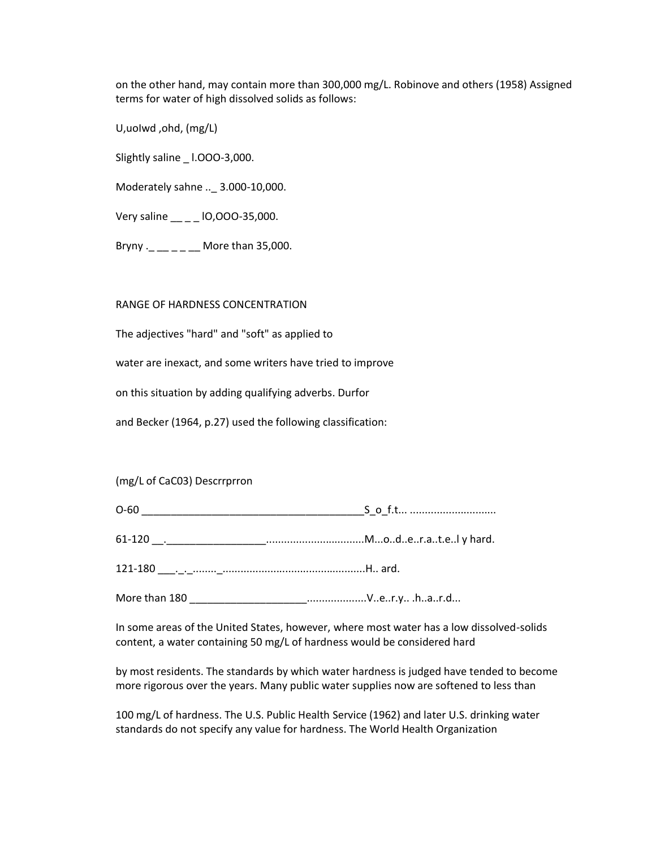on the other hand, may contain more than 300,000 mg/L. Robinove and others (1958) Assigned terms for water of high dissolved solids as follows:

U,uoIwd ,ohd, (mg/L)

Slightly saline \_ l.OOO-3,000.

Moderately sahne ..\_ 3.000-10,000.

Very saline \_\_ \_ \_ lO,OOO-35,000.

Bryny .\_ \_\_ \_ \_ \_ \_ More than 35,000.

RANGE OF HARDNESS CONCENTRATION

The adjectives "hard" and "soft" as applied to

water are inexact, and some writers have tried to improve

on this situation by adding qualifying adverbs. Durfor

and Becker (1964, p.27) used the following classification:

# (mg/L of CaC03) Descrrprron

| . . |
|-----|
|     |

61-120 \_\_.\_\_\_\_\_\_\_\_\_\_\_\_\_\_\_\_\_.................................M...o..d..e..r.a..t.e..l y hard.

121-180 \_\_\_.\_.\_........\_................................................H.. ard.

More than 180 **More than 180 We all the Contract Contract Contract** Contract Contract Contract Contract Contract Contract Contract Contract Contract Contract Contract Contract Contract Contract Contract Contract Contract

In some areas of the United States, however, where most water has a low dissolved-solids content, a water containing 50 mg/L of hardness would be considered hard

by most residents. The standards by which water hardness is judged have tended to become more rigorous over the years. Many public water supplies now are softened to less than

100 mg/L of hardness. The U.S. Public Health Service (1962) and later U.S. drinking water standards do not specify any value for hardness. The World Health Organization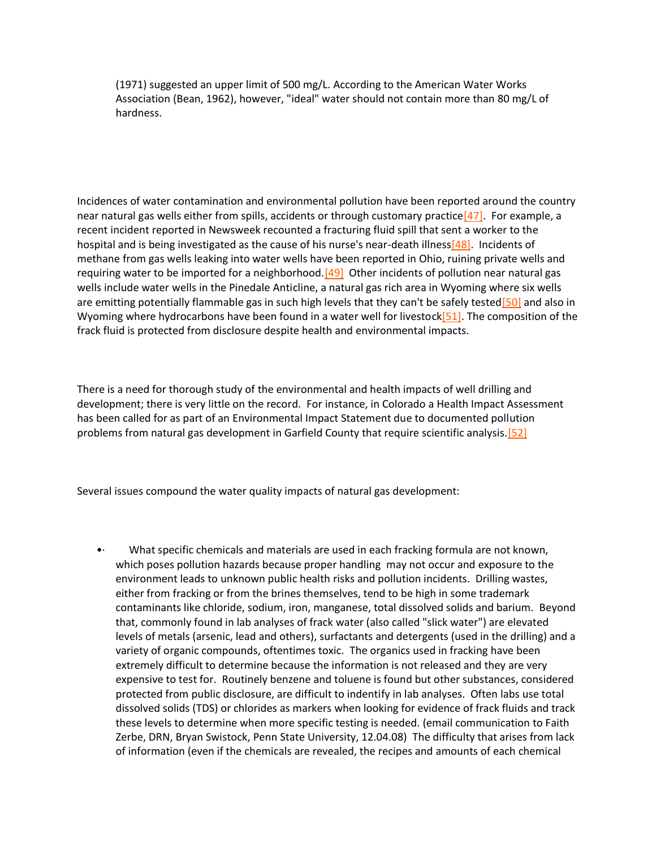(1971) suggested an upper limit of 500 mg/L. According to the American Water Works Association (Bean, 1962), however, "ideal" water should not contain more than 80 mg/L of hardness.

Incidences of water contamination and environmental pollution have been reported around the country near natural gas wells either from spills, accidents or through customary practice  $[47]$ . For example, a recent incident reported in Newsweek recounted a fracturing fluid spill that sent a worker to the hospital and is being investigated as the cause of his nurse's near-death illness $[48]$ . Incidents of methane from gas wells leaking into water wells have been reported in Ohio, ruining private wells and requiring water to be imported for a neighborhood. $[49]$  Other incidents of pollution near natural gas wells include water wells in the Pinedale Anticline, a natural gas rich area in Wyoming where six wells are emitting potentially flammable gas in such high levels that they can't be safely tested [50] and also in Wyoming where hydrocarbons have been found in a water well for livestock $[51]$ . The composition of the frack fluid is protected from disclosure despite health and environmental impacts.

There is a need for thorough study of the environmental and health impacts of well drilling and development; there is very little on the record. For instance, in Colorado a Health Impact Assessment has been called for as part of an Environmental Impact Statement due to documented pollution problems from natural gas development in Garfield County that require scientific analysis[.\[52\]](http://delawareriverkeeper.org/newsresources/factsheet.asp?ID=86#_ftn52)

Several issues compound the water quality impacts of natural gas development:

•· What specific chemicals and materials are used in each fracking formula are not known, which poses pollution hazards because proper handling may not occur and exposure to the environment leads to unknown public health risks and pollution incidents. Drilling wastes, either from fracking or from the brines themselves, tend to be high in some trademark contaminants like chloride, sodium, iron, manganese, total dissolved solids and barium. Beyond that, commonly found in lab analyses of frack water (also called "slick water") are elevated levels of metals (arsenic, lead and others), surfactants and detergents (used in the drilling) and a variety of organic compounds, oftentimes toxic. The organics used in fracking have been extremely difficult to determine because the information is not released and they are very expensive to test for. Routinely benzene and toluene is found but other substances, considered protected from public disclosure, are difficult to indentify in lab analyses. Often labs use total dissolved solids (TDS) or chlorides as markers when looking for evidence of frack fluids and track these levels to determine when more specific testing is needed. (email communication to Faith Zerbe, DRN, Bryan Swistock, Penn State University, 12.04.08) The difficulty that arises from lack of information (even if the chemicals are revealed, the recipes and amounts of each chemical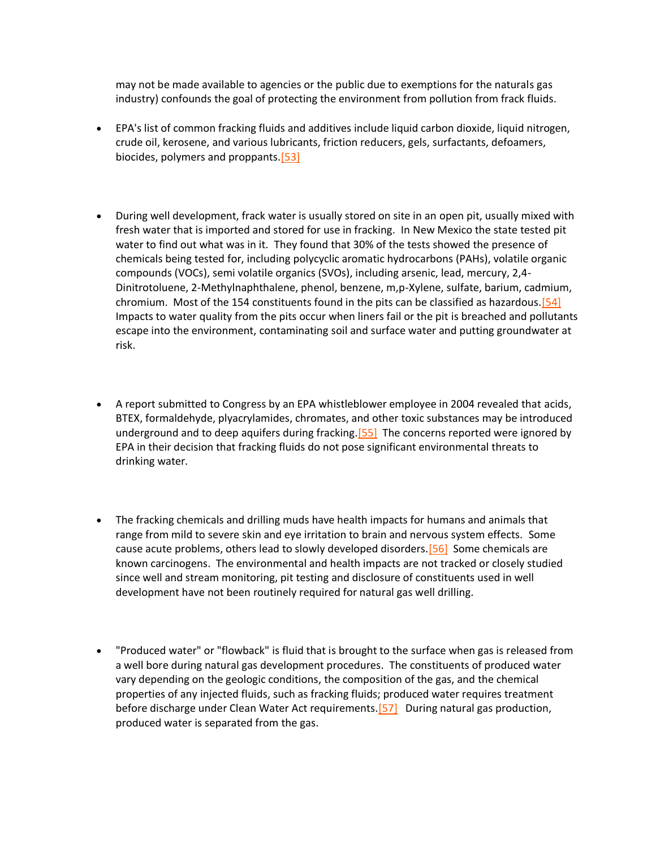may not be made available to agencies or the public due to exemptions for the naturals gas industry) confounds the goal of protecting the environment from pollution from frack fluids.

- EPA's list of common fracking fluids and additives include liquid carbon dioxide, liquid nitrogen, crude oil, kerosene, and various lubricants, friction reducers, gels, surfactants, defoamers, biocides, polymers and proppants.<sup>[53]</sup>
- During well development, frack water is usually stored on site in an open pit, usually mixed with fresh water that is imported and stored for use in fracking. In New Mexico the state tested pit water to find out what was in it. They found that 30% of the tests showed the presence of chemicals being tested for, including polycyclic aromatic hydrocarbons (PAHs), volatile organic compounds (VOCs), semi volatile organics (SVOs), including arsenic, lead, mercury, 2,4- Dinitrotoluene, 2-Methylnaphthalene, phenol, benzene, m,p-Xylene, sulfate, barium, cadmium, chromium. Most of the 154 constituents found in the pits can be classified as hazardous[.\[54\]](http://delawareriverkeeper.org/newsresources/factsheet.asp?ID=86#_ftn54) Impacts to water quality from the pits occur when liners fail or the pit is breached and pollutants escape into the environment, contaminating soil and surface water and putting groundwater at risk.
- A report submitted to Congress by an EPA whistleblower employee in 2004 revealed that acids, BTEX, formaldehyde, plyacrylamides, chromates, and other toxic substances may be introduced underground and to deep aquifers during fracking.<sup>[55]</sup> The concerns reported were ignored by EPA in their decision that fracking fluids do not pose significant environmental threats to drinking water.
- The fracking chemicals and drilling muds have health impacts for humans and animals that range from mild to severe skin and eye irritation to brain and nervous system effects. Some cause acute problems, others lead to slowly developed disorders. [56] Some chemicals are known carcinogens. The environmental and health impacts are not tracked or closely studied since well and stream monitoring, pit testing and disclosure of constituents used in well development have not been routinely required for natural gas well drilling.
- "Produced water" or "flowback" is fluid that is brought to the surface when gas is released from a well bore during natural gas development procedures. The constituents of produced water vary depending on the geologic conditions, the composition of the gas, and the chemical properties of any injected fluids, such as fracking fluids; produced water requires treatment before discharge under Clean Water Act requirements.<sup>[57]</sup> During natural gas production, produced water is separated from the gas.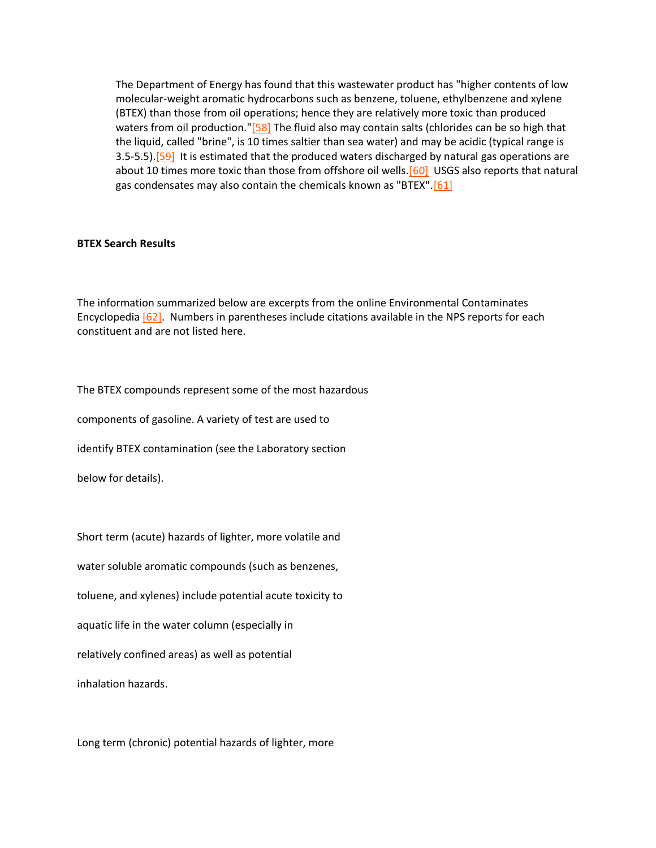The Department of Energy has found that this wastewater product has "higher contents of low molecular-weight aromatic hydrocarbons such as benzene, toluene, ethylbenzene and xylene (BTEX) than those from oil operations; hence they are relatively more toxic than produced waters from oil production.["\[58\]](http://delawareriverkeeper.org/newsresources/factsheet.asp?ID=86#_ftn58) The fluid also may contain salts (chlorides can be so high that the liquid, called "brine", is 10 times saltier than sea water) and may be acidic (typical range is 3.5-5.5).<sup>[59]</sup> It is estimated that the produced waters discharged by natural gas operations are about 10 times more toxic than those from offshore oil wells.<sup>[60]</sup> USGS also reports that natural gas condensates may also contain the chemicals known as "BTEX"[.\[61\]](http://delawareriverkeeper.org/newsresources/factsheet.asp?ID=86#_ftn61)

#### **BTEX Search Results**

The information summarized below are excerpts from the online Environmental Contaminates Encyclopedia [\[62\].](http://delawareriverkeeper.org/newsresources/factsheet.asp?ID=86#_ftn62) Numbers in parentheses include citations available in the NPS reports for each constituent and are not listed here.

The BTEX compounds represent some of the most hazardous

components of gasoline. A variety of test are used to

identify BTEX contamination (see the Laboratory section

below for details).

Short term (acute) hazards of lighter, more volatile and

water soluble aromatic compounds (such as benzenes,

toluene, and xylenes) include potential acute toxicity to

aquatic life in the water column (especially in

relatively confined areas) as well as potential

inhalation hazards.

Long term (chronic) potential hazards of lighter, more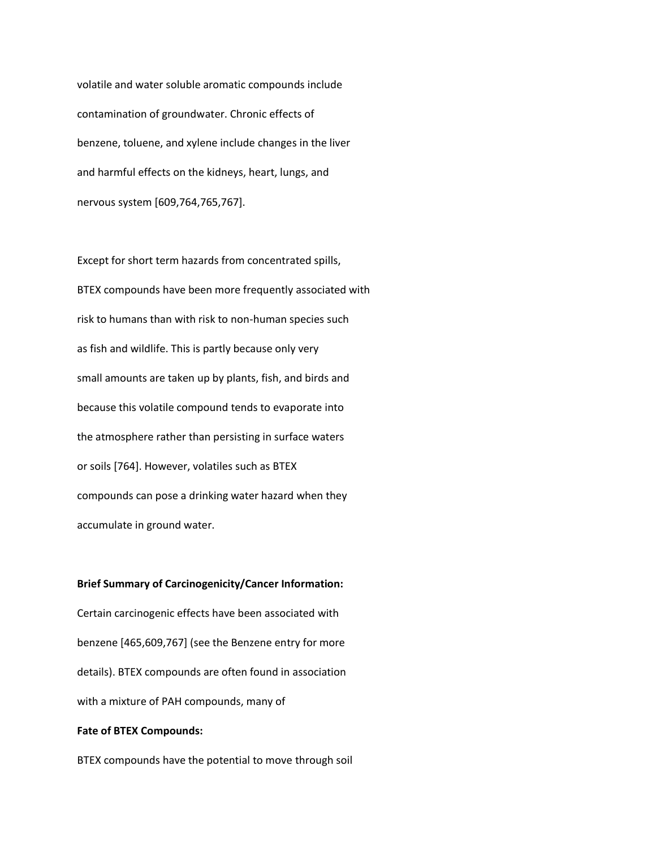volatile and water soluble aromatic compounds include contamination of groundwater. Chronic effects of benzene, toluene, and xylene include changes in the liver and harmful effects on the kidneys, heart, lungs, and nervous system [609,764,765,767].

Except for short term hazards from concentrated spills, BTEX compounds have been more frequently associated with risk to humans than with risk to non-human species such as fish and wildlife. This is partly because only very small amounts are taken up by plants, fish, and birds and because this volatile compound tends to evaporate into the atmosphere rather than persisting in surface waters or soils [764]. However, volatiles such as BTEX compounds can pose a drinking water hazard when they accumulate in ground water.

#### **Brief Summary of Carcinogenicity/Cancer Information:**

Certain carcinogenic effects have been associated with benzene [465,609,767] (see the Benzene entry for more details). BTEX compounds are often found in association with a mixture of PAH compounds, many of

# **Fate of BTEX Compounds:**

BTEX compounds have the potential to move through soil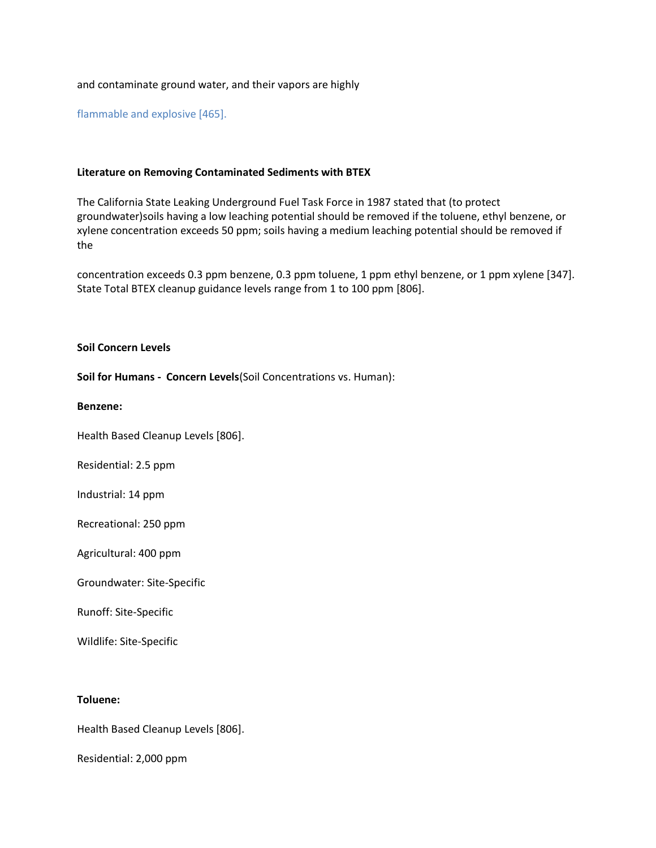## and contaminate ground water, and their vapors are highly

flammable and explosive [465].

### **Literature on Removing Contaminated Sediments with BTEX**

The California State Leaking Underground Fuel Task Force in 1987 stated that (to protect groundwater)soils having a low leaching potential should be removed if the toluene, ethyl benzene, or xylene concentration exceeds 50 ppm; soils having a medium leaching potential should be removed if the

concentration exceeds 0.3 ppm benzene, 0.3 ppm toluene, 1 ppm ethyl benzene, or 1 ppm xylene [347]. State Total BTEX cleanup guidance levels range from 1 to 100 ppm [806].

#### **Soil Concern Levels**

**Soil for Humans - Concern Levels**(Soil Concentrations vs. Human):

**Benzene:**

Health Based Cleanup Levels [806].

Residential: 2.5 ppm

Industrial: 14 ppm

Recreational: 250 ppm

Agricultural: 400 ppm

Groundwater: Site-Specific

Runoff: Site-Specific

Wildlife: Site-Specific

#### **Toluene:**

Health Based Cleanup Levels [806].

Residential: 2,000 ppm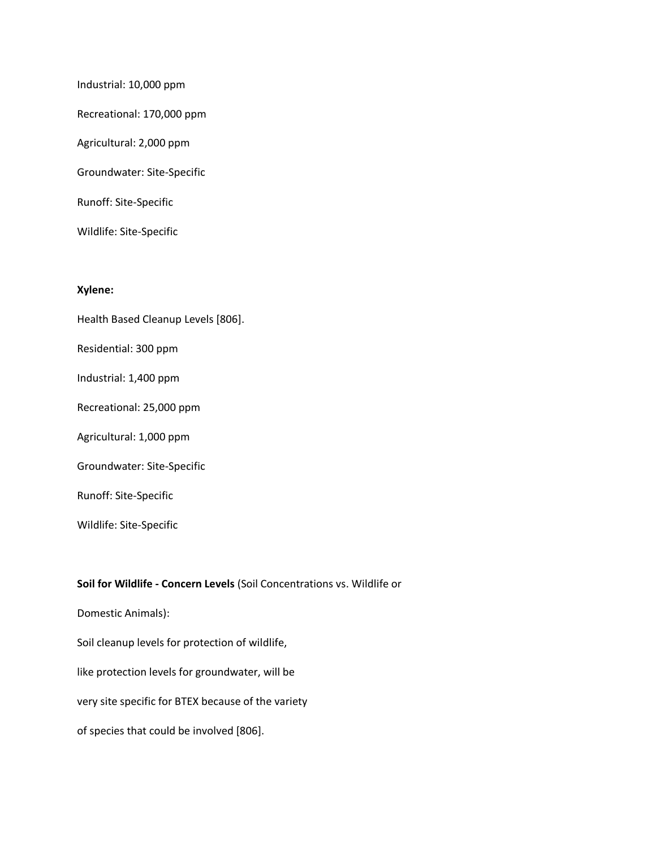Industrial: 10,000 ppm Recreational: 170,000 ppm Agricultural: 2,000 ppm Groundwater: Site-Specific

Runoff: Site-Specific

Wildlife: Site-Specific

# **Xylene:**

- Health Based Cleanup Levels [806].
- Residential: 300 ppm
- Industrial: 1,400 ppm
- Recreational: 25,000 ppm
- Agricultural: 1,000 ppm
- Groundwater: Site-Specific
- Runoff: Site-Specific
- Wildlife: Site-Specific

# **Soil for Wildlife - Concern Levels** (Soil Concentrations vs. Wildlife or

Domestic Animals):

Soil cleanup levels for protection of wildlife,

like protection levels for groundwater, will be

very site specific for BTEX because of the variety

of species that could be involved [806].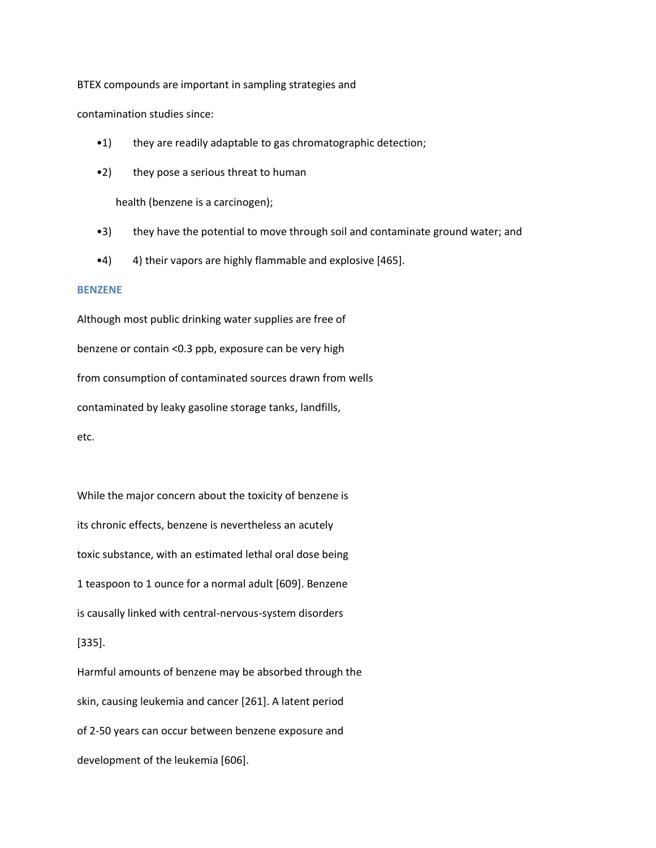BTEX compounds are important in sampling strategies and

contamination studies since:

- •1) they are readily adaptable to gas chromatographic detection;
- •2) they pose a serious threat to human

health (benzene is a carcinogen);

- •3) they have the potential to move through soil and contaminate ground water; and
- •4) 4) their vapors are highly flammable and explosive [465].

#### **BENZENE**

Although most public drinking water supplies are free of benzene or contain <0.3 ppb, exposure can be very high from consumption of contaminated sources drawn from wells contaminated by leaky gasoline storage tanks, landfills, etc.

While the major concern about the toxicity of benzene is its chronic effects, benzene is nevertheless an acutely toxic substance, with an estimated lethal oral dose being 1 teaspoon to 1 ounce for a normal adult [609]. Benzene is causally linked with central-nervous-system disorders [335].

Harmful amounts of benzene may be absorbed through the skin, causing leukemia and cancer [261]. A latent period of 2-50 years can occur between benzene exposure and development of the leukemia [606].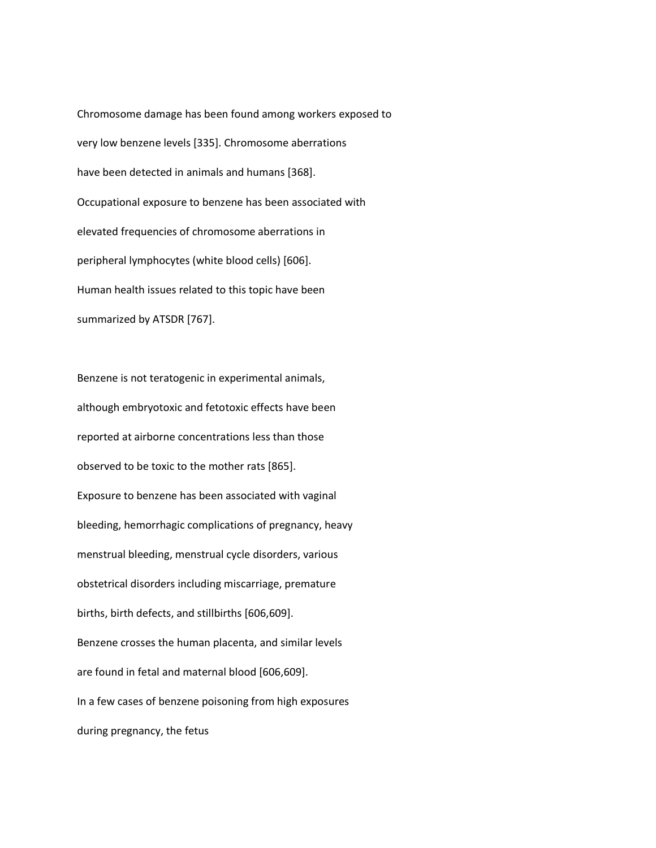Chromosome damage has been found among workers exposed to very low benzene levels [335]. Chromosome aberrations have been detected in animals and humans [368]. Occupational exposure to benzene has been associated with elevated frequencies of chromosome aberrations in peripheral lymphocytes (white blood cells) [606]. Human health issues related to this topic have been summarized by ATSDR [767].

Benzene is not teratogenic in experimental animals, although embryotoxic and fetotoxic effects have been reported at airborne concentrations less than those observed to be toxic to the mother rats [865]. Exposure to benzene has been associated with vaginal bleeding, hemorrhagic complications of pregnancy, heavy menstrual bleeding, menstrual cycle disorders, various obstetrical disorders including miscarriage, premature births, birth defects, and stillbirths [606,609]. Benzene crosses the human placenta, and similar levels are found in fetal and maternal blood [606,609]. In a few cases of benzene poisoning from high exposures during pregnancy, the fetus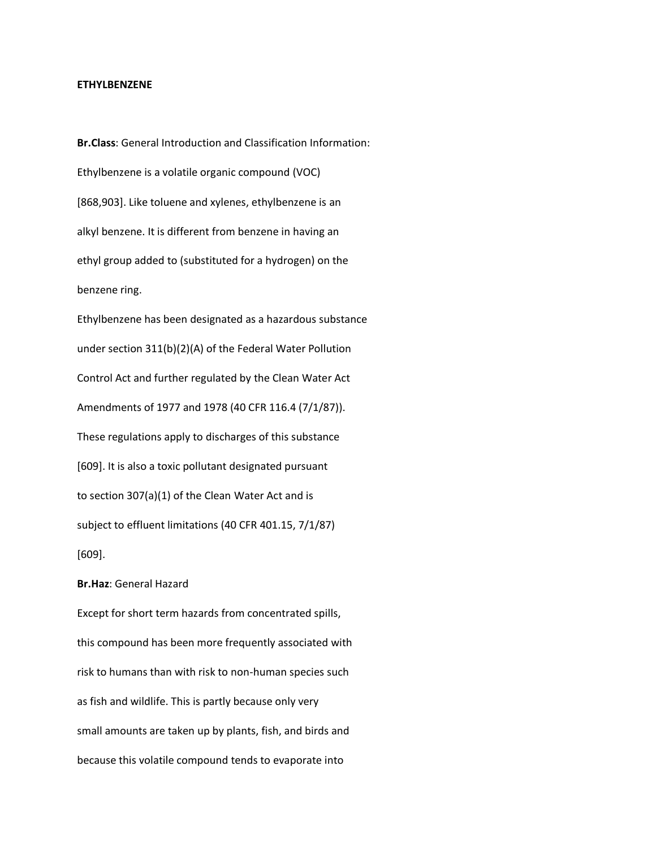#### **ETHYLBENZENE**

**Br.Class**: General Introduction and Classification Information: Ethylbenzene is a volatile organic compound (VOC) [868,903]. Like toluene and xylenes, ethylbenzene is an alkyl benzene. It is different from benzene in having an ethyl group added to (substituted for a hydrogen) on the benzene ring. Ethylbenzene has been designated as a hazardous substance under section 311(b)(2)(A) of the Federal Water Pollution Control Act and further regulated by the Clean Water Act Amendments of 1977 and 1978 (40 CFR 116.4 (7/1/87)). These regulations apply to discharges of this substance [609]. It is also a toxic pollutant designated pursuant to section 307(a)(1) of the Clean Water Act and is subject to effluent limitations (40 CFR 401.15, 7/1/87) [609].

## **Br.Haz**: General Hazard

Except for short term hazards from concentrated spills, this compound has been more frequently associated with risk to humans than with risk to non-human species such as fish and wildlife. This is partly because only very small amounts are taken up by plants, fish, and birds and because this volatile compound tends to evaporate into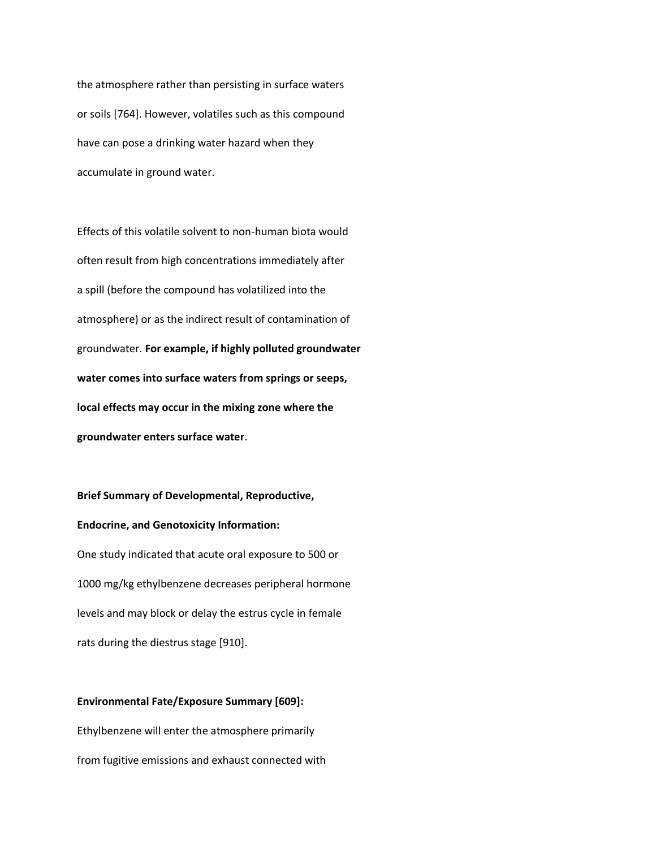the atmosphere rather than persisting in surface waters or soils [764]. However, volatiles such as this compound have can pose a drinking water hazard when they accumulate in ground water.

Effects of this volatile solvent to non-human biota would often result from high concentrations immediately after a spill (before the compound has volatilized into the atmosphere) or as the indirect result of contamination of groundwater. **For example, if highly polluted groundwater water comes into surface waters from springs or seeps, local effects may occur in the mixing zone where the groundwater enters surface water**.

**Brief Summary of Developmental, Reproductive, Endocrine, and Genotoxicity Information:** One study indicated that acute oral exposure to 500 or 1000 mg/kg ethylbenzene decreases peripheral hormone levels and may block or delay the estrus cycle in female rats during the diestrus stage [910].

**Environmental Fate/Exposure Summary [609]:** Ethylbenzene will enter the atmosphere primarily from fugitive emissions and exhaust connected with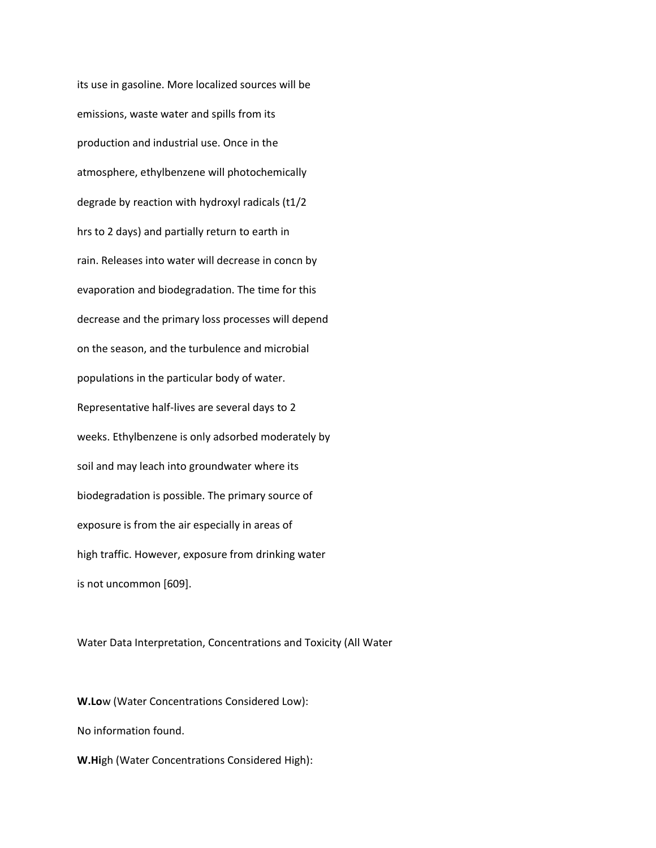its use in gasoline. More localized sources will be emissions, waste water and spills from its production and industrial use. Once in the atmosphere, ethylbenzene will photochemically degrade by reaction with hydroxyl radicals (t1/2 hrs to 2 days) and partially return to earth in rain. Releases into water will decrease in concn by evaporation and biodegradation. The time for this decrease and the primary loss processes will depend on the season, and the turbulence and microbial populations in the particular body of water. Representative half-lives are several days to 2 weeks. Ethylbenzene is only adsorbed moderately by soil and may leach into groundwater where its biodegradation is possible. The primary source of exposure is from the air especially in areas of high traffic. However, exposure from drinking water is not uncommon [609].

Water Data Interpretation, Concentrations and Toxicity (All Water

**W.Lo**w (Water Concentrations Considered Low): No information found. **W.Hi**gh (Water Concentrations Considered High):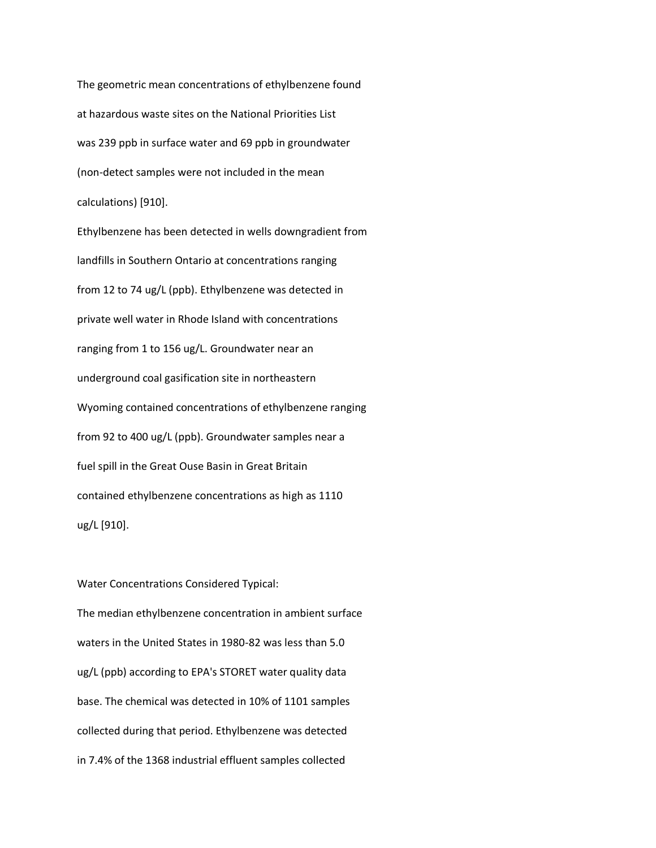The geometric mean concentrations of ethylbenzene found at hazardous waste sites on the National Priorities List was 239 ppb in surface water and 69 ppb in groundwater (non-detect samples were not included in the mean calculations) [910].

Ethylbenzene has been detected in wells downgradient from landfills in Southern Ontario at concentrations ranging from 12 to 74 ug/L (ppb). Ethylbenzene was detected in private well water in Rhode Island with concentrations ranging from 1 to 156 ug/L. Groundwater near an underground coal gasification site in northeastern Wyoming contained concentrations of ethylbenzene ranging from 92 to 400 ug/L (ppb). Groundwater samples near a fuel spill in the Great Ouse Basin in Great Britain contained ethylbenzene concentrations as high as 1110 ug/L [910].

Water Concentrations Considered Typical: The median ethylbenzene concentration in ambient surface waters in the United States in 1980-82 was less than 5.0 ug/L (ppb) according to EPA's STORET water quality data base. The chemical was detected in 10% of 1101 samples collected during that period. Ethylbenzene was detected in 7.4% of the 1368 industrial effluent samples collected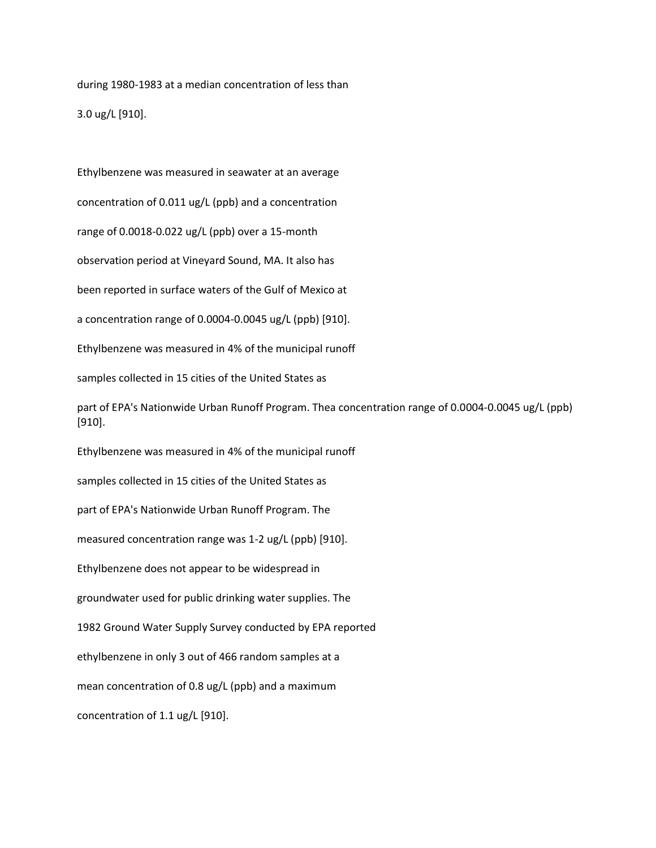during 1980-1983 at a median concentration of less than 3.0 ug/L [910].

Ethylbenzene was measured in seawater at an average

concentration of 0.011 ug/L (ppb) and a concentration

range of 0.0018-0.022 ug/L (ppb) over a 15-month

observation period at Vineyard Sound, MA. It also has

been reported in surface waters of the Gulf of Mexico at

a concentration range of 0.0004-0.0045 ug/L (ppb) [910].

Ethylbenzene was measured in 4% of the municipal runoff

samples collected in 15 cities of the United States as

part of EPA's Nationwide Urban Runoff Program. Thea concentration range of 0.0004-0.0045 ug/L (ppb) [910].

Ethylbenzene was measured in 4% of the municipal runoff

samples collected in 15 cities of the United States as

part of EPA's Nationwide Urban Runoff Program. The

measured concentration range was 1-2 ug/L (ppb) [910].

Ethylbenzene does not appear to be widespread in

groundwater used for public drinking water supplies. The

1982 Ground Water Supply Survey conducted by EPA reported

ethylbenzene in only 3 out of 466 random samples at a

mean concentration of 0.8 ug/L (ppb) and a maximum

concentration of 1.1 ug/L [910].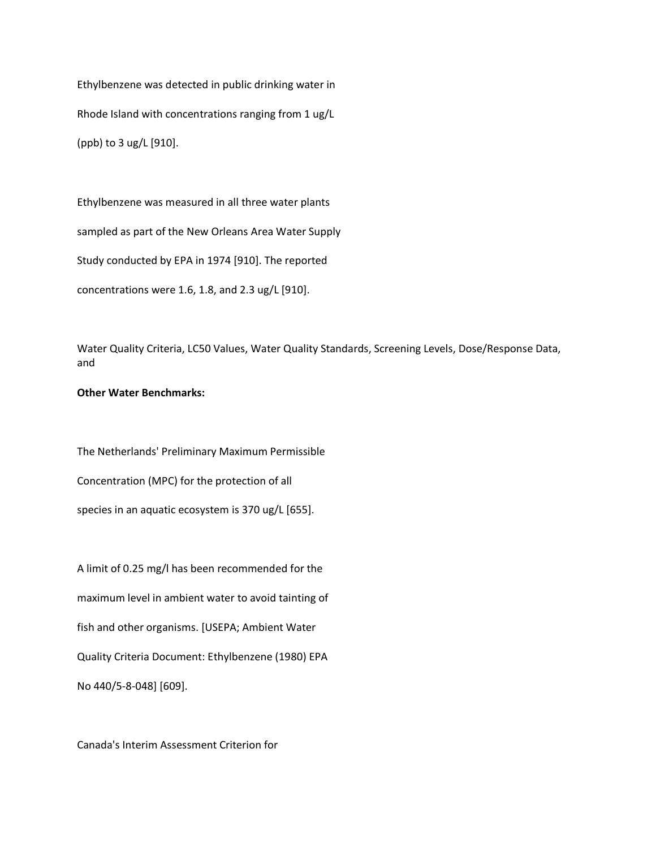Ethylbenzene was detected in public drinking water in Rhode Island with concentrations ranging from 1 ug/L (ppb) to 3 ug/L [910].

Ethylbenzene was measured in all three water plants

sampled as part of the New Orleans Area Water Supply

Study conducted by EPA in 1974 [910]. The reported

concentrations were 1.6, 1.8, and 2.3 ug/L [910].

Water Quality Criteria, LC50 Values, Water Quality Standards, Screening Levels, Dose/Response Data, and

#### **Other Water Benchmarks:**

The Netherlands' Preliminary Maximum Permissible Concentration (MPC) for the protection of all species in an aquatic ecosystem is 370 ug/L [655].

A limit of 0.25 mg/l has been recommended for the maximum level in ambient water to avoid tainting of fish and other organisms. [USEPA; Ambient Water Quality Criteria Document: Ethylbenzene (1980) EPA No 440/5-8-048] [609].

Canada's Interim Assessment Criterion for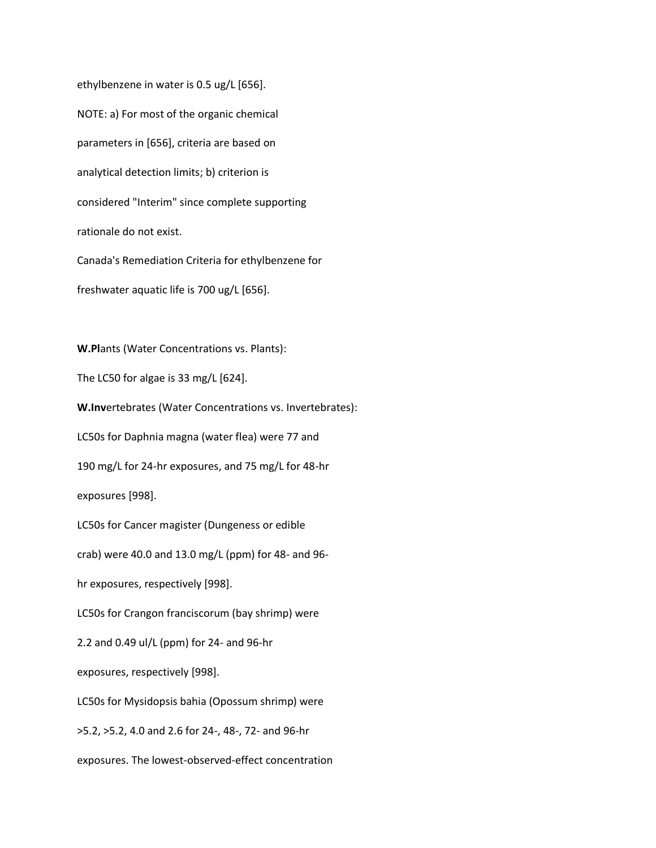ethylbenzene in water is 0.5 ug/L [656]. NOTE: a) For most of the organic chemical parameters in [656], criteria are based on analytical detection limits; b) criterion is considered "Interim" since complete supporting rationale do not exist. Canada's Remediation Criteria for ethylbenzene for freshwater aquatic life is 700 ug/L [656].

**W.Pl**ants (Water Concentrations vs. Plants): The LC50 for algae is 33 mg/L [624]. **W.Inv**ertebrates (Water Concentrations vs. Invertebrates): LC50s for Daphnia magna (water flea) were 77 and 190 mg/L for 24-hr exposures, and 75 mg/L for 48-hr exposures [998]. LC50s for Cancer magister (Dungeness or edible crab) were 40.0 and 13.0 mg/L (ppm) for 48- and 96 hr exposures, respectively [998]. LC50s for Crangon franciscorum (bay shrimp) were 2.2 and 0.49 ul/L (ppm) for 24- and 96-hr exposures, respectively [998]. LC50s for Mysidopsis bahia (Opossum shrimp) were >5.2, >5.2, 4.0 and 2.6 for 24-, 48-, 72- and 96-hr exposures. The lowest-observed-effect concentration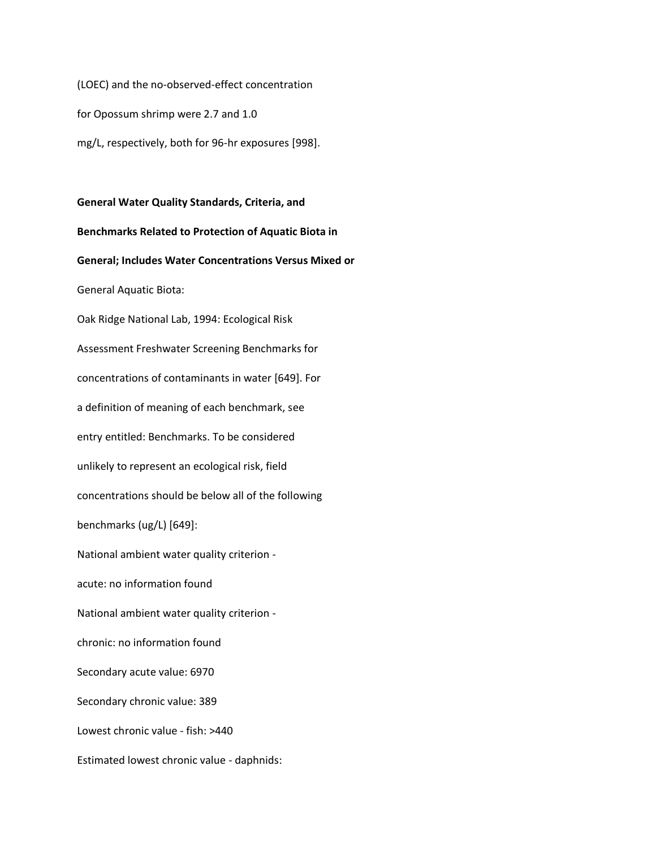(LOEC) and the no-observed-effect concentration for Opossum shrimp were 2.7 and 1.0 mg/L, respectively, both for 96-hr exposures [998].

**General Water Quality Standards, Criteria, and Benchmarks Related to Protection of Aquatic Biota in General; Includes Water Concentrations Versus Mixed or** General Aquatic Biota: Oak Ridge National Lab, 1994: Ecological Risk Assessment Freshwater Screening Benchmarks for concentrations of contaminants in water [649]. For a definition of meaning of each benchmark, see entry entitled: Benchmarks. To be considered unlikely to represent an ecological risk, field concentrations should be below all of the following benchmarks (ug/L) [649]: National ambient water quality criterion acute: no information found National ambient water quality criterion chronic: no information found Secondary acute value: 6970 Secondary chronic value: 389 Lowest chronic value - fish: >440 Estimated lowest chronic value - daphnids: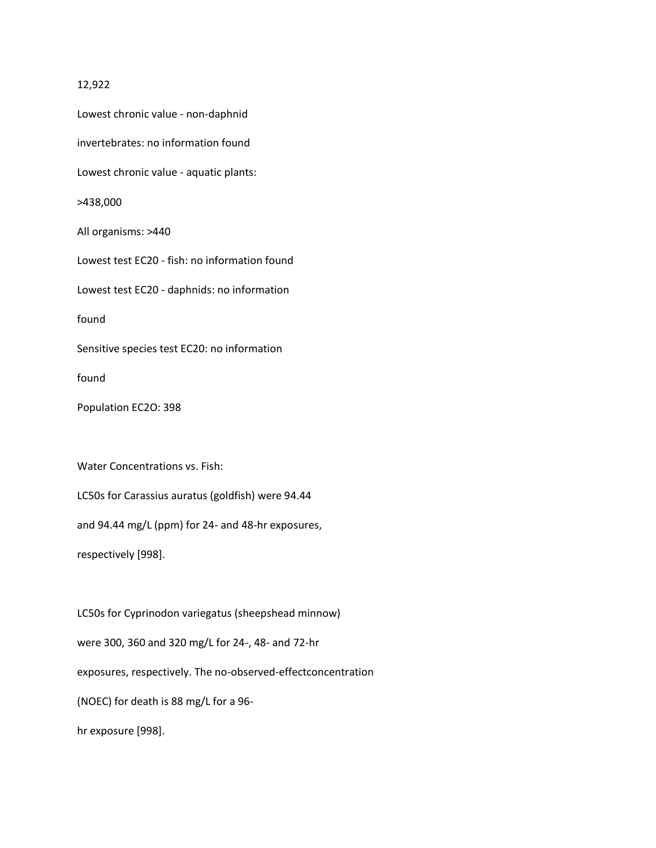#### 12,922

Lowest chronic value - non-daphnid invertebrates: no information found Lowest chronic value - aquatic plants: >438,000 All organisms: >440 Lowest test EC20 - fish: no information found Lowest test EC20 - daphnids: no information found Sensitive species test EC20: no information found Population EC2O: 398 Water Concentrations vs. Fish: LC50s for Carassius auratus (goldfish) were 94.44 and 94.44 mg/L (ppm) for 24- and 48-hr exposures, respectively [998].

LC50s for Cyprinodon variegatus (sheepshead minnow) were 300, 360 and 320 mg/L for 24-, 48- and 72-hr exposures, respectively. The no-observed-effectconcentration (NOEC) for death is 88 mg/L for a 96 hr exposure [998].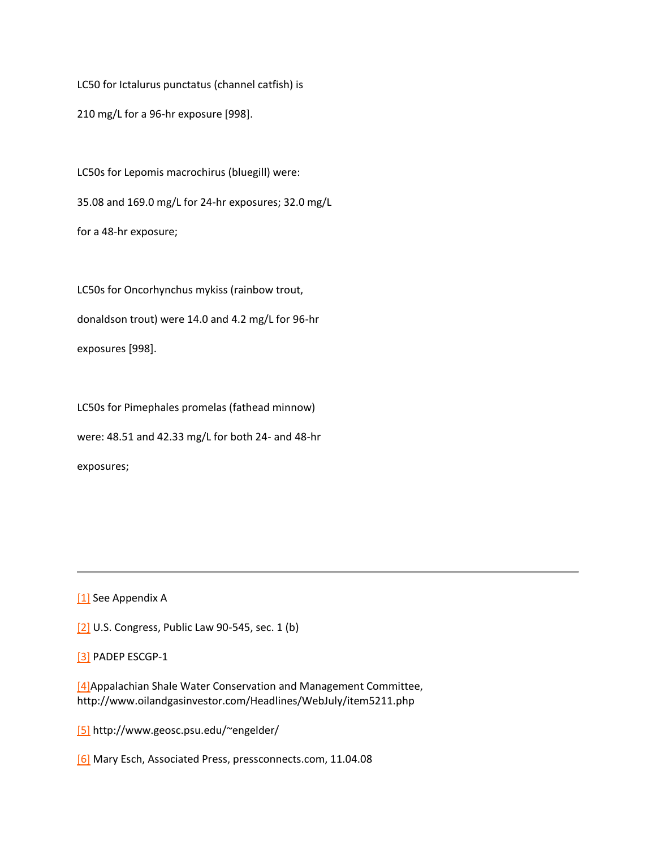LC50 for Ictalurus punctatus (channel catfish) is 210 mg/L for a 96-hr exposure [998].

LC50s for Lepomis macrochirus (bluegill) were: 35.08 and 169.0 mg/L for 24-hr exposures; 32.0 mg/L for a 48-hr exposure;

LC50s for Oncorhynchus mykiss (rainbow trout, donaldson trout) were 14.0 and 4.2 mg/L for 96-hr exposures [998].

LC50s for Pimephales promelas (fathead minnow) were: 48.51 and 42.33 mg/L for both 24- and 48-hr exposures;

[\[1\]](http://delawareriverkeeper.org/newsresources/factsheet.asp?ID=86#_ftnref1) See Appendix A

[\[2\]](http://delawareriverkeeper.org/newsresources/factsheet.asp?ID=86#_ftnref2) U.S. Congress, Public Law 90-545, sec. 1 (b)

[\[3\]](http://delawareriverkeeper.org/newsresources/factsheet.asp?ID=86#_ftnref3) PADEP ESCGP-1

[\[4\]A](http://delawareriverkeeper.org/newsresources/factsheet.asp?ID=86#_ftnref4)ppalachian Shale Water Conservation and Management Committee, http://www.oilandgasinvestor.com/Headlines/WebJuly/item5211.php

[\[5\]](http://delawareriverkeeper.org/newsresources/factsheet.asp?ID=86#_ftnref5) http://www.geosc.psu.edu/~engelder/

[\[6\]](http://delawareriverkeeper.org/newsresources/factsheet.asp?ID=86#_ftnref6) Mary Esch, Associated Press, pressconnects.com, 11.04.08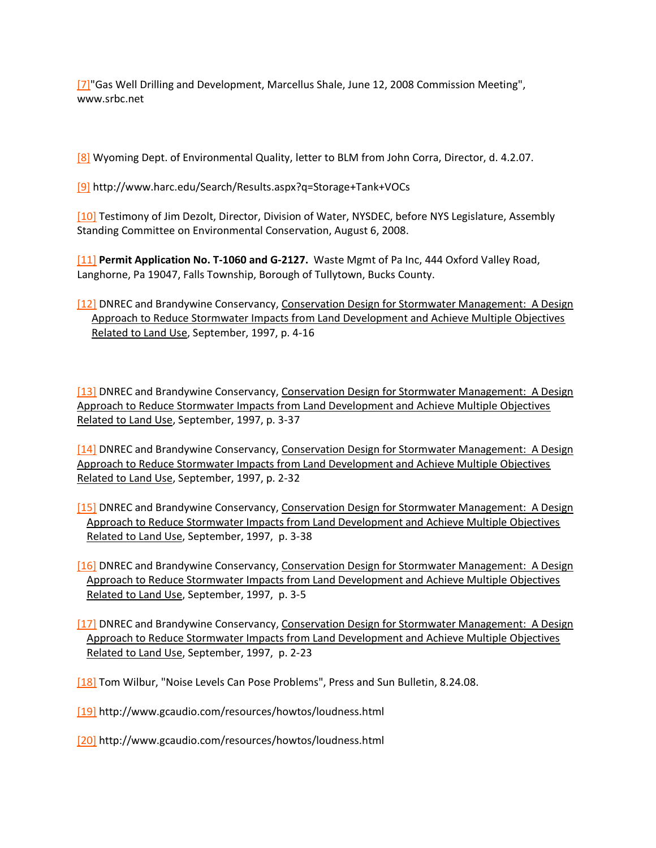[\[7\]"](http://delawareriverkeeper.org/newsresources/factsheet.asp?ID=86#_ftnref7)Gas Well Drilling and Development, Marcellus Shale, June 12, 2008 Commission Meeting", www.srbc.net

[\[8\]](http://delawareriverkeeper.org/newsresources/factsheet.asp?ID=86#_ftnref8) Wyoming Dept. of Environmental Quality, letter to BLM from John Corra, Director, d. 4.2.07.

[\[9\]](http://delawareriverkeeper.org/newsresources/factsheet.asp?ID=86#_ftnref9) http://www.harc.edu/Search/Results.aspx?q=Storage+Tank+VOCs

[\[10\]](http://delawareriverkeeper.org/newsresources/factsheet.asp?ID=86#_ftnref10) Testimony of Jim Dezolt, Director, Division of Water, NYSDEC, before NYS Legislature, Assembly Standing Committee on Environmental Conservation, August 6, 2008.

[\[11\]](http://delawareriverkeeper.org/newsresources/factsheet.asp?ID=86#_ftnref11) **Permit Application No. T-1060 and G-2127.** Waste Mgmt of Pa Inc, 444 Oxford Valley Road, Langhorne, Pa 19047, Falls Township, Borough of Tullytown, Bucks County.

[\[12\]](http://delawareriverkeeper.org/newsresources/factsheet.asp?ID=86#_ftnref12) DNREC and Brandywine Conservancy, Conservation Design for Stormwater Management: A Design Approach to Reduce Stormwater Impacts from Land Development and Achieve Multiple Objectives Related to Land Use, September, 1997, p. 4-16

[\[13\]](http://delawareriverkeeper.org/newsresources/factsheet.asp?ID=86#_ftnref13) DNREC and Brandywine Conservancy, Conservation Design for Stormwater Management: A Design Approach to Reduce Stormwater Impacts from Land Development and Achieve Multiple Objectives Related to Land Use, September, 1997, p. 3-37

[\[14\]](http://delawareriverkeeper.org/newsresources/factsheet.asp?ID=86#_ftnref14) DNREC and Brandywine Conservancy, Conservation Design for Stormwater Management: A Design Approach to Reduce Stormwater Impacts from Land Development and Achieve Multiple Objectives Related to Land Use, September, 1997, p. 2-32

- [\[15\]](http://delawareriverkeeper.org/newsresources/factsheet.asp?ID=86#_ftnref15) DNREC and Brandywine Conservancy, Conservation Design for Stormwater Management: A Design Approach to Reduce Stormwater Impacts from Land Development and Achieve Multiple Objectives Related to Land Use, September, 1997, p. 3-38
- [\[16\]](http://delawareriverkeeper.org/newsresources/factsheet.asp?ID=86#_ftnref16) DNREC and Brandywine Conservancy, Conservation Design for Stormwater Management: A Design Approach to Reduce Stormwater Impacts from Land Development and Achieve Multiple Objectives Related to Land Use, September, 1997, p. 3-5
- [\[17\]](http://delawareriverkeeper.org/newsresources/factsheet.asp?ID=86#_ftnref17) DNREC and Brandywine Conservancy, Conservation Design for Stormwater Management: A Design Approach to Reduce Stormwater Impacts from Land Development and Achieve Multiple Objectives Related to Land Use, September, 1997, p. 2-23

[\[18\]](http://delawareriverkeeper.org/newsresources/factsheet.asp?ID=86#_ftnref18) Tom Wilbur, "Noise Levels Can Pose Problems", Press and Sun Bulletin, 8.24.08.

[\[19\]](http://delawareriverkeeper.org/newsresources/factsheet.asp?ID=86#_ftnref19) http://www.gcaudio.com/resources/howtos/loudness.html

[\[20\]](http://delawareriverkeeper.org/newsresources/factsheet.asp?ID=86#_ftnref20) http://www.gcaudio.com/resources/howtos/loudness.html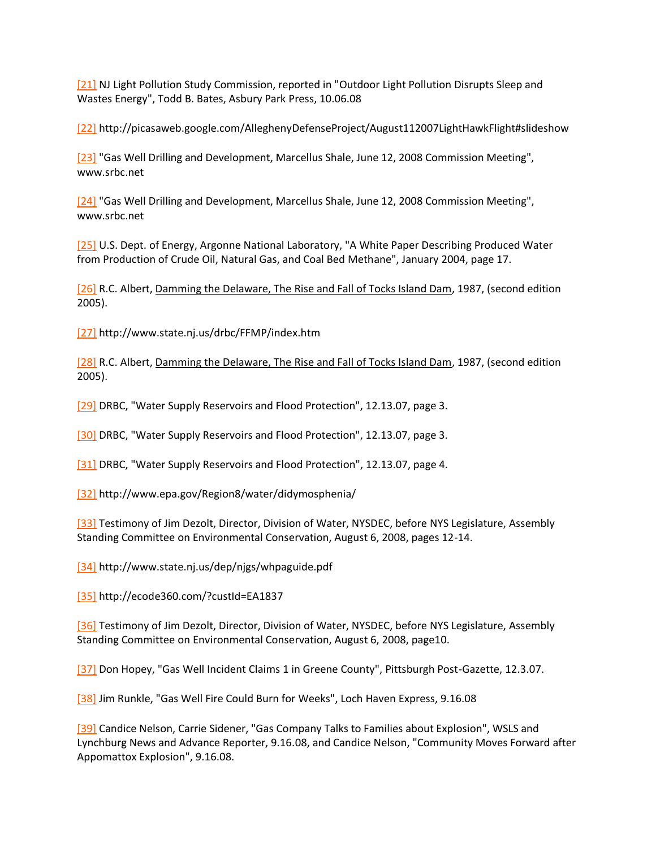[\[21\]](http://delawareriverkeeper.org/newsresources/factsheet.asp?ID=86#_ftnref21) NJ Light Pollution Study Commission, reported in "Outdoor Light Pollution Disrupts Sleep and Wastes Energy", Todd B. Bates, Asbury Park Press, 10.06.08

[\[22\]](http://delawareriverkeeper.org/newsresources/factsheet.asp?ID=86#_ftnref22) http://picasaweb.google.com/AlleghenyDefenseProject/August112007LightHawkFlight#slideshow

[\[23\]](http://delawareriverkeeper.org/newsresources/factsheet.asp?ID=86#_ftnref23) "Gas Well Drilling and Development, Marcellus Shale, June 12, 2008 Commission Meeting", www.srbc.net

[\[24\]](http://delawareriverkeeper.org/newsresources/factsheet.asp?ID=86#_ftnref24) "Gas Well Drilling and Development, Marcellus Shale, June 12, 2008 Commission Meeting", www.srbc.net

[\[25\]](http://delawareriverkeeper.org/newsresources/factsheet.asp?ID=86#_ftnref25) U.S. Dept. of Energy, Argonne National Laboratory, "A White Paper Describing Produced Water from Production of Crude Oil, Natural Gas, and Coal Bed Methane", January 2004, page 17.

[\[26\]](http://delawareriverkeeper.org/newsresources/factsheet.asp?ID=86#_ftnref26) R.C. Albert, Damming the Delaware, The Rise and Fall of Tocks Island Dam, 1987, (second edition 2005).

[\[27\]](http://delawareriverkeeper.org/newsresources/factsheet.asp?ID=86#_ftnref27) http://www.state.nj.us/drbc/FFMP/index.htm

[\[28\]](http://delawareriverkeeper.org/newsresources/factsheet.asp?ID=86#_ftnref28) R.C. Albert, Damming the Delaware, The Rise and Fall of Tocks Island Dam, 1987, (second edition 2005).

[\[29\]](http://delawareriverkeeper.org/newsresources/factsheet.asp?ID=86#_ftnref29) DRBC, "Water Supply Reservoirs and Flood Protection", 12.13.07, page 3.

[\[30\]](http://delawareriverkeeper.org/newsresources/factsheet.asp?ID=86#_ftnref30) DRBC, "Water Supply Reservoirs and Flood Protection", 12.13.07, page 3.

[\[31\]](http://delawareriverkeeper.org/newsresources/factsheet.asp?ID=86#_ftnref31) DRBC, "Water Supply Reservoirs and Flood Protection", 12.13.07, page 4.

[\[32\]](http://delawareriverkeeper.org/newsresources/factsheet.asp?ID=86#_ftnref32) http://www.epa.gov/Region8/water/didymosphenia/

[\[33\]](http://delawareriverkeeper.org/newsresources/factsheet.asp?ID=86#_ftnref33) Testimony of Jim Dezolt, Director, Division of Water, NYSDEC, before NYS Legislature, Assembly Standing Committee on Environmental Conservation, August 6, 2008, pages 12-14.

[\[34\]](http://delawareriverkeeper.org/newsresources/factsheet.asp?ID=86#_ftnref34) http://www.state.nj.us/dep/njgs/whpaguide.pdf

[\[35\]](http://delawareriverkeeper.org/newsresources/factsheet.asp?ID=86#_ftnref35) http://ecode360.com/?custId=EA1837

[\[36\]](http://delawareriverkeeper.org/newsresources/factsheet.asp?ID=86#_ftnref36) Testimony of Jim Dezolt, Director, Division of Water, NYSDEC, before NYS Legislature, Assembly Standing Committee on Environmental Conservation, August 6, 2008, page10.

[\[37\]](http://delawareriverkeeper.org/newsresources/factsheet.asp?ID=86#_ftnref37) Don Hopey, "Gas Well Incident Claims 1 in Greene County", Pittsburgh Post-Gazette, 12.3.07.

[\[38\]](http://delawareriverkeeper.org/newsresources/factsheet.asp?ID=86#_ftnref38) Jim Runkle, "Gas Well Fire Could Burn for Weeks", Loch Haven Express, 9.16.08

[\[39\]](http://delawareriverkeeper.org/newsresources/factsheet.asp?ID=86#_ftnref39) Candice Nelson, Carrie Sidener, "Gas Company Talks to Families about Explosion", WSLS and Lynchburg News and Advance Reporter, 9.16.08, and Candice Nelson, "Community Moves Forward after Appomattox Explosion", 9.16.08.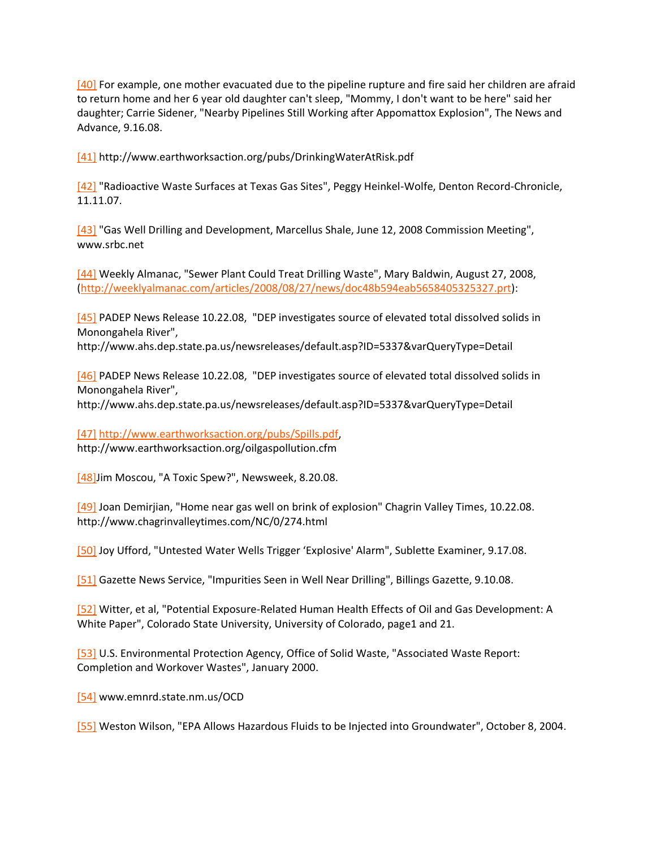[\[40\]](http://delawareriverkeeper.org/newsresources/factsheet.asp?ID=86#_ftnref40) For example, one mother evacuated due to the pipeline rupture and fire said her children are afraid to return home and her 6 year old daughter can't sleep, "Mommy, I don't want to be here" said her daughter; Carrie Sidener, "Nearby Pipelines Still Working after Appomattox Explosion", The News and Advance, 9.16.08.

[\[41\]](http://delawareriverkeeper.org/newsresources/factsheet.asp?ID=86#_ftnref41) http://www.earthworksaction.org/pubs/DrinkingWaterAtRisk.pdf

[\[42\]](http://delawareriverkeeper.org/newsresources/factsheet.asp?ID=86#_ftnref42) "Radioactive Waste Surfaces at Texas Gas Sites", Peggy Heinkel-Wolfe, Denton Record-Chronicle, 11.11.07.

[\[43\]](http://delawareriverkeeper.org/newsresources/factsheet.asp?ID=86#_ftnref43) "Gas Well Drilling and Development, Marcellus Shale, June 12, 2008 Commission Meeting", www.srbc.net

[\[44\]](http://delawareriverkeeper.org/newsresources/factsheet.asp?ID=86#_ftnref44) Weekly Almanac, "Sewer Plant Could Treat Drilling Waste", Mary Baldwin, August 27, 2008, [\(http://weeklyalmanac.com/articles/2008/08/27/news/doc48b594eab5658405325327.prt\)](http://weeklyalmanac.com/articles/2008/08/27/news/doc48b594eab5658405325327.prt):

[\[45\]](http://delawareriverkeeper.org/newsresources/factsheet.asp?ID=86#_ftnref45) PADEP News Release 10.22.08, "DEP investigates source of elevated total dissolved solids in Monongahela River",

http://www.ahs.dep.state.pa.us/newsreleases/default.asp?ID=5337&varQueryType=Detail

[\[46\]](http://delawareriverkeeper.org/newsresources/factsheet.asp?ID=86#_ftnref46) PADEP News Release 10.22.08, "DEP investigates source of elevated total dissolved solids in Monongahela River",

http://www.ahs.dep.state.pa.us/newsreleases/default.asp?ID=5337&varQueryType=Detail

[\[47\]](http://delawareriverkeeper.org/newsresources/factsheet.asp?ID=86#_ftnref47) [http://www.earthworksaction.org/pubs/Spills.pdf,](http://www.earthworksaction.org/pubs/Spills.pdf) http://www.earthworksaction.org/oilgaspollution.cfm

[\[48\]J](http://delawareriverkeeper.org/newsresources/factsheet.asp?ID=86#_ftnref48)im Moscou, "A Toxic Spew?", Newsweek, 8.20.08.

[\[49\]](http://delawareriverkeeper.org/newsresources/factsheet.asp?ID=86#_ftnref49) Joan Demirjian, "Home near gas well on brink of explosion" Chagrin Valley Times, 10.22.08. http://www.chagrinvalleytimes.com/NC/0/274.html

[\[50\]](http://delawareriverkeeper.org/newsresources/factsheet.asp?ID=86#_ftnref50) Joy Ufford, "Untested Water Wells Trigger 'Explosive' Alarm", Sublette Examiner, 9.17.08.

[\[51\]](http://delawareriverkeeper.org/newsresources/factsheet.asp?ID=86#_ftnref51) Gazette News Service, "Impurities Seen in Well Near Drilling", Billings Gazette, 9.10.08.

[\[52\]](http://delawareriverkeeper.org/newsresources/factsheet.asp?ID=86#_ftnref52) Witter, et al, "Potential Exposure-Related Human Health Effects of Oil and Gas Development: A White Paper", Colorado State University, University of Colorado, page1 and 21.

[\[53\]](http://delawareriverkeeper.org/newsresources/factsheet.asp?ID=86#_ftnref53) U.S. Environmental Protection Agency, Office of Solid Waste, "Associated Waste Report: Completion and Workover Wastes", January 2000.

[\[54\]](http://delawareriverkeeper.org/newsresources/factsheet.asp?ID=86#_ftnref54) www.emnrd.state.nm.us/OCD

[\[55\]](http://delawareriverkeeper.org/newsresources/factsheet.asp?ID=86#_ftnref55) Weston Wilson, "EPA Allows Hazardous Fluids to be Injected into Groundwater", October 8, 2004.